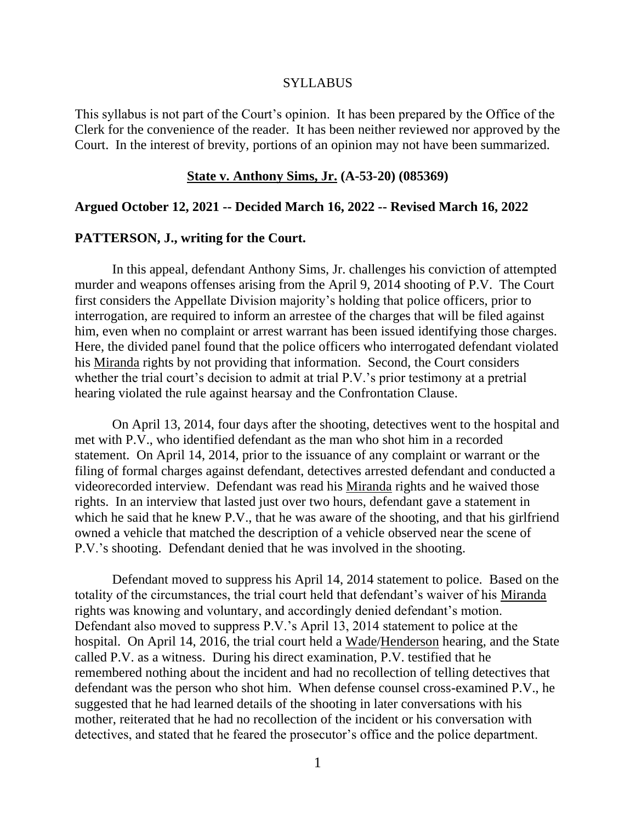#### **SYLLABUS**

This syllabus is not part of the Court's opinion. It has been prepared by the Office of the Clerk for the convenience of the reader. It has been neither reviewed nor approved by the Court. In the interest of brevity, portions of an opinion may not have been summarized.

#### **State v. Anthony Sims, Jr. (A-53-20) (085369)**

#### **Argued October 12, 2021 -- Decided March 16, 2022 -- Revised March 16, 2022**

#### **PATTERSON, J., writing for the Court.**

In this appeal, defendant Anthony Sims, Jr. challenges his conviction of attempted murder and weapons offenses arising from the April 9, 2014 shooting of P.V. The Court first considers the Appellate Division majority's holding that police officers, prior to interrogation, are required to inform an arrestee of the charges that will be filed against him, even when no complaint or arrest warrant has been issued identifying those charges. Here, the divided panel found that the police officers who interrogated defendant violated his Miranda rights by not providing that information. Second, the Court considers whether the trial court's decision to admit at trial P.V.'s prior testimony at a pretrial hearing violated the rule against hearsay and the Confrontation Clause.

On April 13, 2014, four days after the shooting, detectives went to the hospital and met with P.V., who identified defendant as the man who shot him in a recorded statement. On April 14, 2014, prior to the issuance of any complaint or warrant or the filing of formal charges against defendant, detectives arrested defendant and conducted a videorecorded interview. Defendant was read his Miranda rights and he waived those rights. In an interview that lasted just over two hours, defendant gave a statement in which he said that he knew P.V., that he was aware of the shooting, and that his girlfriend owned a vehicle that matched the description of a vehicle observed near the scene of P.V.'s shooting. Defendant denied that he was involved in the shooting.

Defendant moved to suppress his April 14, 2014 statement to police. Based on the totality of the circumstances, the trial court held that defendant's waiver of his Miranda rights was knowing and voluntary, and accordingly denied defendant's motion. Defendant also moved to suppress P.V.'s April 13, 2014 statement to police at the hospital. On April 14, 2016, the trial court held a Wade/Henderson hearing, and the State called P.V. as a witness. During his direct examination, P.V. testified that he remembered nothing about the incident and had no recollection of telling detectives that defendant was the person who shot him. When defense counsel cross-examined P.V., he suggested that he had learned details of the shooting in later conversations with his mother, reiterated that he had no recollection of the incident or his conversation with detectives, and stated that he feared the prosecutor's office and the police department.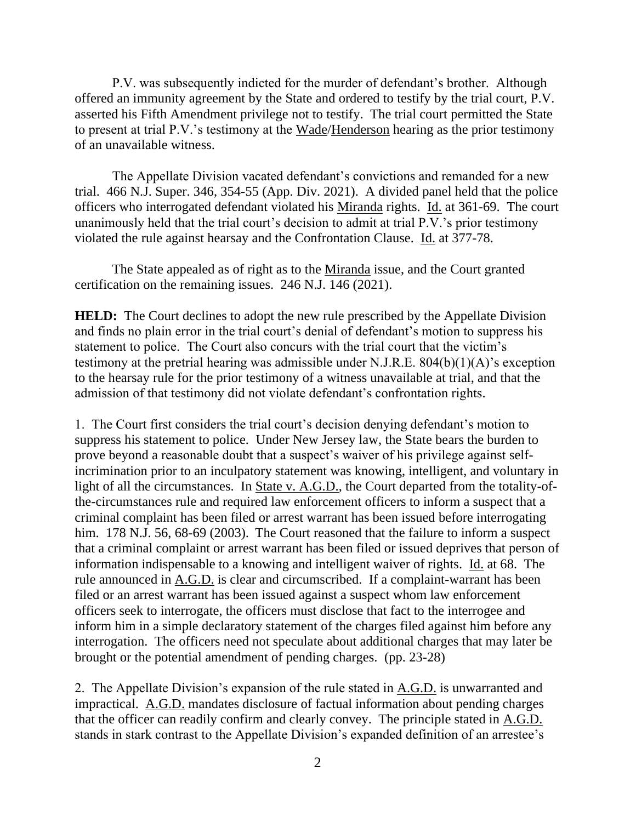P.V. was subsequently indicted for the murder of defendant's brother. Although offered an immunity agreement by the State and ordered to testify by the trial court, P.V. asserted his Fifth Amendment privilege not to testify. The trial court permitted the State to present at trial P.V.'s testimony at the Wade/Henderson hearing as the prior testimony of an unavailable witness.

The Appellate Division vacated defendant's convictions and remanded for a new trial. 466 N.J. Super. 346, 354-55 (App. Div. 2021). A divided panel held that the police officers who interrogated defendant violated his Miranda rights. Id. at 361-69. The court unanimously held that the trial court's decision to admit at trial P.V.'s prior testimony violated the rule against hearsay and the Confrontation Clause. Id. at 377-78.

The State appealed as of right as to the Miranda issue, and the Court granted certification on the remaining issues. 246 N.J. 146 (2021).

**HELD:** The Court declines to adopt the new rule prescribed by the Appellate Division and finds no plain error in the trial court's denial of defendant's motion to suppress his statement to police. The Court also concurs with the trial court that the victim's testimony at the pretrial hearing was admissible under N.J.R.E. 804(b)(1)(A)'s exception to the hearsay rule for the prior testimony of a witness unavailable at trial, and that the admission of that testimony did not violate defendant's confrontation rights.

1. The Court first considers the trial court's decision denying defendant's motion to suppress his statement to police. Under New Jersey law, the State bears the burden to prove beyond a reasonable doubt that a suspect's waiver of his privilege against selfincrimination prior to an inculpatory statement was knowing, intelligent, and voluntary in light of all the circumstances. In State v. A.G.D., the Court departed from the totality-ofthe-circumstances rule and required law enforcement officers to inform a suspect that a criminal complaint has been filed or arrest warrant has been issued before interrogating him. 178 N.J. 56, 68-69 (2003). The Court reasoned that the failure to inform a suspect that a criminal complaint or arrest warrant has been filed or issued deprives that person of information indispensable to a knowing and intelligent waiver of rights. Id. at 68. The rule announced in A.G.D. is clear and circumscribed. If a complaint-warrant has been filed or an arrest warrant has been issued against a suspect whom law enforcement officers seek to interrogate, the officers must disclose that fact to the interrogee and inform him in a simple declaratory statement of the charges filed against him before any interrogation. The officers need not speculate about additional charges that may later be brought or the potential amendment of pending charges. (pp. 23-28)

2. The Appellate Division's expansion of the rule stated in A.G.D. is unwarranted and impractical. A.G.D. mandates disclosure of factual information about pending charges that the officer can readily confirm and clearly convey. The principle stated in A.G.D. stands in stark contrast to the Appellate Division's expanded definition of an arrestee's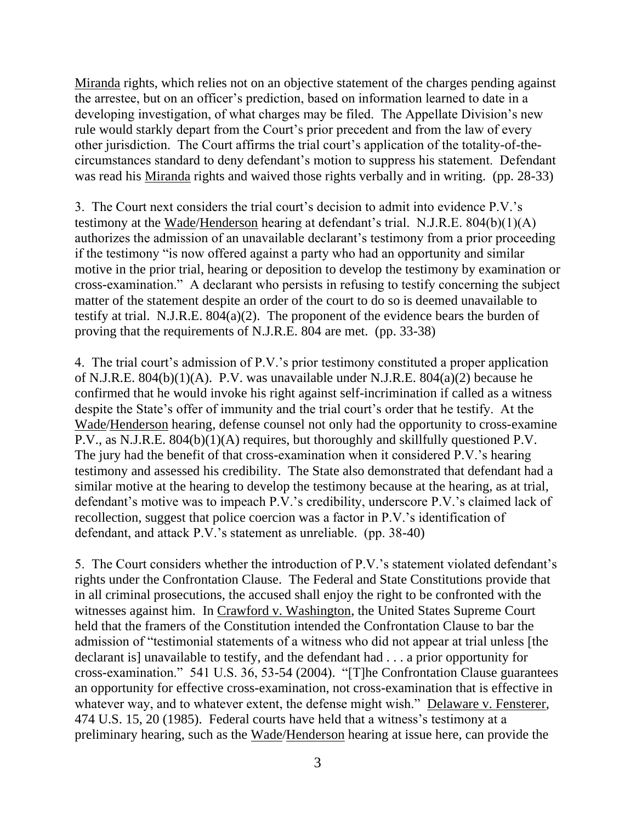Miranda rights, which relies not on an objective statement of the charges pending against the arrestee, but on an officer's prediction, based on information learned to date in a developing investigation, of what charges may be filed. The Appellate Division's new rule would starkly depart from the Court's prior precedent and from the law of every other jurisdiction. The Court affirms the trial court's application of the totality-of-thecircumstances standard to deny defendant's motion to suppress his statement. Defendant was read his Miranda rights and waived those rights verbally and in writing. (pp. 28-33)

3. The Court next considers the trial court's decision to admit into evidence P.V.'s testimony at the Wade/Henderson hearing at defendant's trial. N.J.R.E. 804(b)(1)(A) authorizes the admission of an unavailable declarant's testimony from a prior proceeding if the testimony "is now offered against a party who had an opportunity and similar motive in the prior trial, hearing or deposition to develop the testimony by examination or cross-examination." A declarant who persists in refusing to testify concerning the subject matter of the statement despite an order of the court to do so is deemed unavailable to testify at trial. N.J.R.E. 804(a)(2). The proponent of the evidence bears the burden of proving that the requirements of N.J.R.E. 804 are met. (pp. 33-38)

4. The trial court's admission of P.V.'s prior testimony constituted a proper application of N.J.R.E. 804(b)(1)(A). P.V. was unavailable under N.J.R.E. 804(a)(2) because he confirmed that he would invoke his right against self-incrimination if called as a witness despite the State's offer of immunity and the trial court's order that he testify. At the Wade/Henderson hearing, defense counsel not only had the opportunity to cross-examine P.V., as N.J.R.E. 804(b)(1)(A) requires, but thoroughly and skillfully questioned P.V. The jury had the benefit of that cross-examination when it considered P.V.'s hearing testimony and assessed his credibility. The State also demonstrated that defendant had a similar motive at the hearing to develop the testimony because at the hearing, as at trial, defendant's motive was to impeach P.V.'s credibility, underscore P.V.'s claimed lack of recollection, suggest that police coercion was a factor in P.V.'s identification of defendant, and attack P.V.'s statement as unreliable. (pp. 38-40)

5. The Court considers whether the introduction of P.V.'s statement violated defendant's rights under the Confrontation Clause. The Federal and State Constitutions provide that in all criminal prosecutions, the accused shall enjoy the right to be confronted with the witnesses against him. In Crawford v. Washington, the United States Supreme Court held that the framers of the Constitution intended the Confrontation Clause to bar the admission of "testimonial statements of a witness who did not appear at trial unless [the declarant is] unavailable to testify, and the defendant had . . . a prior opportunity for cross-examination." 541 U.S. 36, 53-54 (2004). "[T]he Confrontation Clause guarantees an opportunity for effective cross-examination, not cross-examination that is effective in whatever way, and to whatever extent, the defense might wish." Delaware v. Fensterer, 474 U.S. 15, 20 (1985). Federal courts have held that a witness's testimony at a preliminary hearing, such as the Wade/Henderson hearing at issue here, can provide the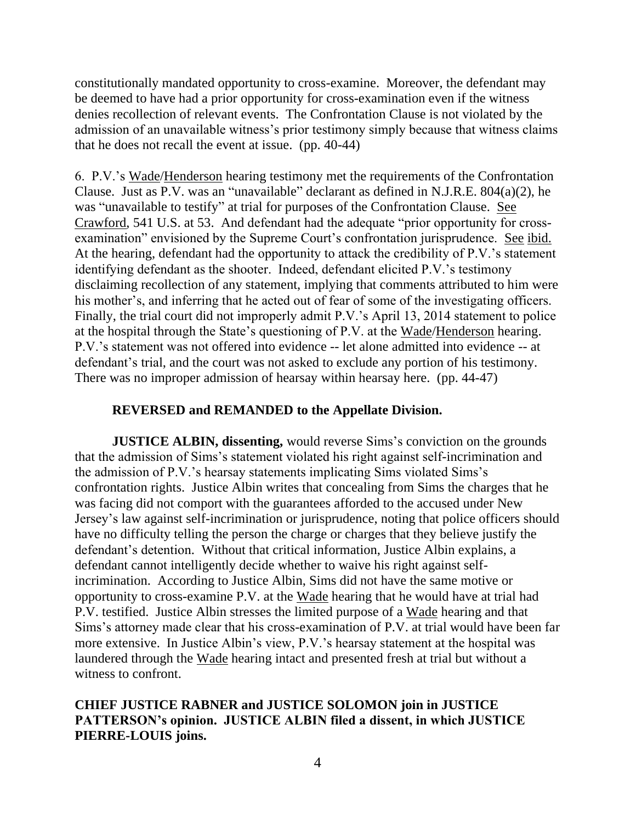constitutionally mandated opportunity to cross-examine. Moreover, the defendant may be deemed to have had a prior opportunity for cross-examination even if the witness denies recollection of relevant events. The Confrontation Clause is not violated by the admission of an unavailable witness's prior testimony simply because that witness claims that he does not recall the event at issue. (pp. 40-44)

6. P.V.'s Wade/Henderson hearing testimony met the requirements of the Confrontation Clause. Just as P.V. was an "unavailable" declarant as defined in N.J.R.E. 804(a)(2), he was "unavailable to testify" at trial for purposes of the Confrontation Clause. See Crawford, 541 U.S. at 53. And defendant had the adequate "prior opportunity for crossexamination" envisioned by the Supreme Court's confrontation jurisprudence. See ibid. At the hearing, defendant had the opportunity to attack the credibility of P.V.'s statement identifying defendant as the shooter. Indeed, defendant elicited P.V.'s testimony disclaiming recollection of any statement, implying that comments attributed to him were his mother's, and inferring that he acted out of fear of some of the investigating officers. Finally, the trial court did not improperly admit P.V.'s April 13, 2014 statement to police at the hospital through the State's questioning of P.V. at the Wade/Henderson hearing. P.V.'s statement was not offered into evidence -- let alone admitted into evidence -- at defendant's trial, and the court was not asked to exclude any portion of his testimony. There was no improper admission of hearsay within hearsay here. (pp. 44-47)

## **REVERSED and REMANDED to the Appellate Division.**

**JUSTICE ALBIN, dissenting,** would reverse Sims's conviction on the grounds that the admission of Sims's statement violated his right against self-incrimination and the admission of P.V.'s hearsay statements implicating Sims violated Sims's confrontation rights. Justice Albin writes that concealing from Sims the charges that he was facing did not comport with the guarantees afforded to the accused under New Jersey's law against self-incrimination or jurisprudence, noting that police officers should have no difficulty telling the person the charge or charges that they believe justify the defendant's detention. Without that critical information, Justice Albin explains, a defendant cannot intelligently decide whether to waive his right against selfincrimination. According to Justice Albin, Sims did not have the same motive or opportunity to cross-examine P.V. at the Wade hearing that he would have at trial had P.V. testified. Justice Albin stresses the limited purpose of a Wade hearing and that Sims's attorney made clear that his cross-examination of P.V. at trial would have been far more extensive. In Justice Albin's view, P.V.'s hearsay statement at the hospital was laundered through the Wade hearing intact and presented fresh at trial but without a witness to confront.

# **CHIEF JUSTICE RABNER and JUSTICE SOLOMON join in JUSTICE PATTERSON's opinion. JUSTICE ALBIN filed a dissent, in which JUSTICE PIERRE-LOUIS joins.**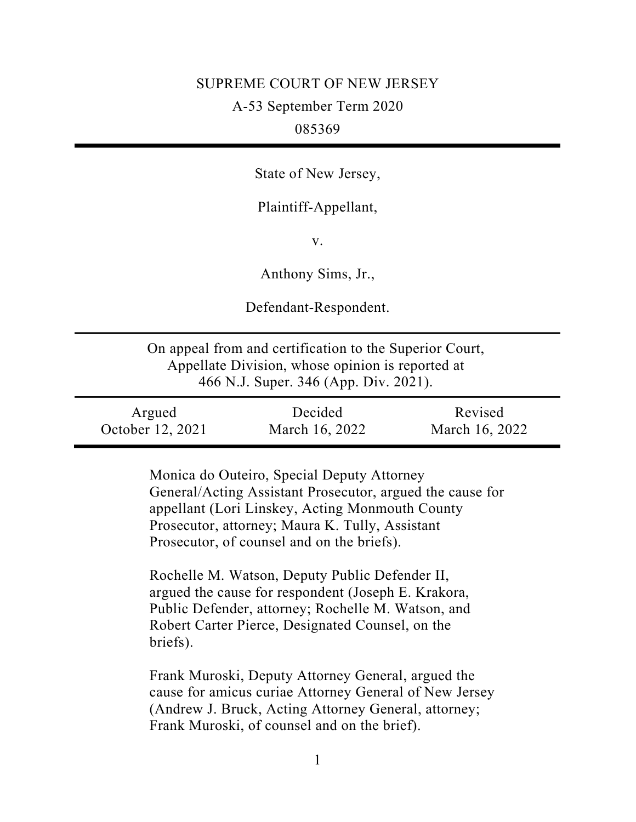# SUPREME COURT OF NEW JERSEY A-53 September Term 2020 085369

State of New Jersey,

Plaintiff-Appellant,

v.

Anthony Sims, Jr.,

Defendant-Respondent.

On appeal from and certification to the Superior Court, Appellate Division, whose opinion is reported at 466 N.J. Super. 346 (App. Div. 2021).

| Argued           | Decided        | Revised        |
|------------------|----------------|----------------|
| October 12, 2021 | March 16, 2022 | March 16, 2022 |

Monica do Outeiro, Special Deputy Attorney General/Acting Assistant Prosecutor, argued the cause for appellant (Lori Linskey, Acting Monmouth County Prosecutor, attorney; Maura K. Tully, Assistant Prosecutor, of counsel and on the briefs).

Rochelle M. Watson, Deputy Public Defender II, argued the cause for respondent (Joseph E. Krakora, Public Defender, attorney; Rochelle M. Watson, and Robert Carter Pierce, Designated Counsel, on the briefs).

Frank Muroski, Deputy Attorney General, argued the cause for amicus curiae Attorney General of New Jersey (Andrew J. Bruck, Acting Attorney General, attorney; Frank Muroski, of counsel and on the brief).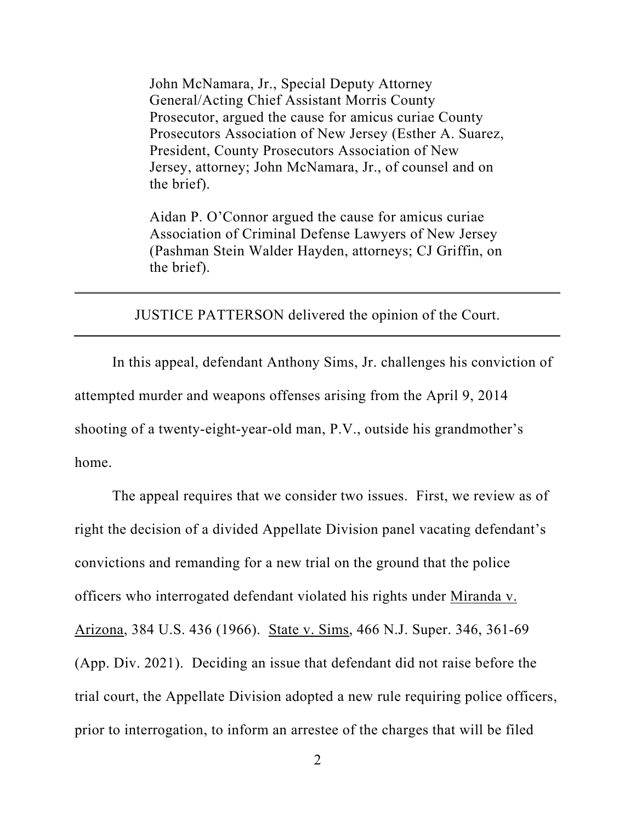John McNamara, Jr., Special Deputy Attorney General/Acting Chief Assistant Morris County Prosecutor, argued the cause for amicus curiae County Prosecutors Association of New Jersey (Esther A. Suarez, President, County Prosecutors Association of New Jersey, attorney; John McNamara, Jr., of counsel and on the brief).

Aidan P. O'Connor argued the cause for amicus curiae Association of Criminal Defense Lawyers of New Jersey (Pashman Stein Walder Hayden, attorneys; CJ Griffin, on the brief).

JUSTICE PATTERSON delivered the opinion of the Court.

In this appeal, defendant Anthony Sims, Jr. challenges his conviction of attempted murder and weapons offenses arising from the April 9, 2014 shooting of a twenty-eight-year-old man, P.V., outside his grandmother's home.

The appeal requires that we consider two issues. First, we review as of right the decision of a divided Appellate Division panel vacating defendant's convictions and remanding for a new trial on the ground that the police officers who interrogated defendant violated his rights under Miranda v. Arizona, 384 U.S. 436 (1966). State v. Sims, 466 N.J. Super. 346, 361-69 (App. Div. 2021). Deciding an issue that defendant did not raise before the trial court, the Appellate Division adopted a new rule requiring police officers, prior to interrogation, to inform an arrestee of the charges that will be filed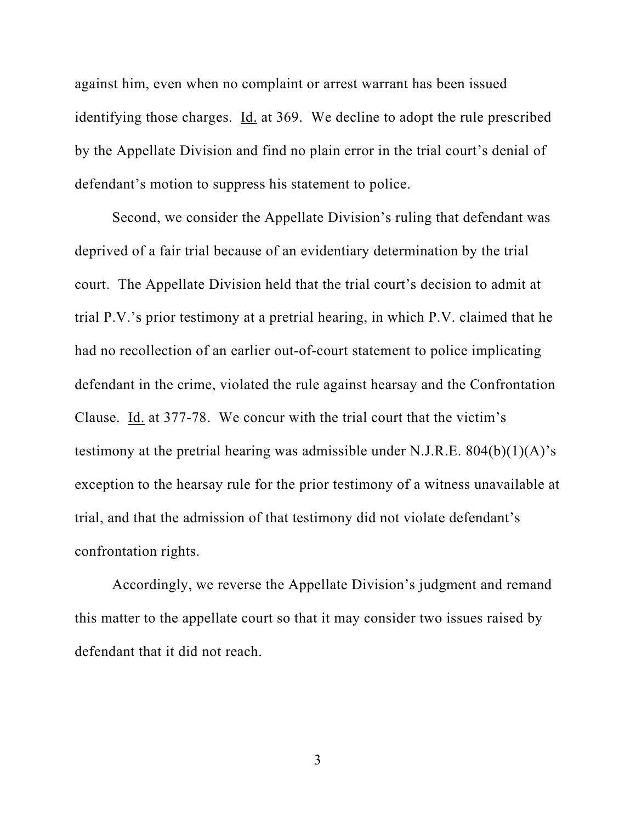against him, even when no complaint or arrest warrant has been issued identifying those charges. Id. at 369. We decline to adopt the rule prescribed by the Appellate Division and find no plain error in the trial court's denial of defendant's motion to suppress his statement to police.

Second, we consider the Appellate Division's ruling that defendant was deprived of a fair trial because of an evidentiary determination by the trial court. The Appellate Division held that the trial court's decision to admit at trial P.V.'s prior testimony at a pretrial hearing, in which P.V. claimed that he had no recollection of an earlier out-of-court statement to police implicating defendant in the crime, violated the rule against hearsay and the Confrontation Clause. Id. at 377-78. We concur with the trial court that the victim's testimony at the pretrial hearing was admissible under N.J.R.E.  $804(b)(1)(A)$ 's exception to the hearsay rule for the prior testimony of a witness unavailable at trial, and that the admission of that testimony did not violate defendant's confrontation rights.

Accordingly, we reverse the Appellate Division's judgment and remand this matter to the appellate court so that it may consider two issues raised by defendant that it did not reach.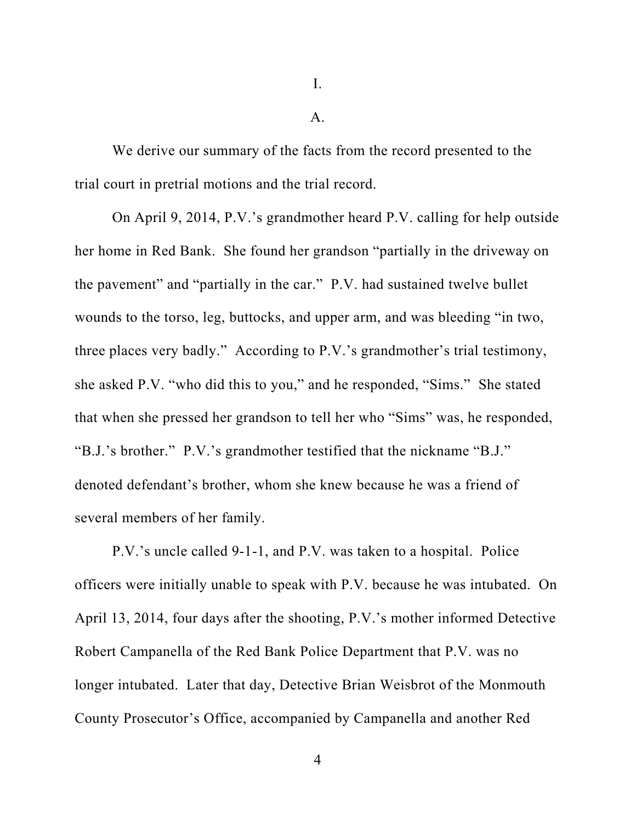I.

 $A<sub>1</sub>$ 

We derive our summary of the facts from the record presented to the trial court in pretrial motions and the trial record.

On April 9, 2014, P.V.'s grandmother heard P.V. calling for help outside her home in Red Bank. She found her grandson "partially in the driveway on the pavement" and "partially in the car." P.V. had sustained twelve bullet wounds to the torso, leg, buttocks, and upper arm, and was bleeding "in two, three places very badly." According to P.V.'s grandmother's trial testimony, she asked P.V. "who did this to you," and he responded, "Sims." She stated that when she pressed her grandson to tell her who "Sims" was, he responded, "B.J.'s brother." P.V.'s grandmother testified that the nickname "B.J." denoted defendant's brother, whom she knew because he was a friend of several members of her family.

P.V.'s uncle called 9-1-1, and P.V. was taken to a hospital. Police officers were initially unable to speak with P.V. because he was intubated. On April 13, 2014, four days after the shooting, P.V.'s mother informed Detective Robert Campanella of the Red Bank Police Department that P.V. was no longer intubated. Later that day, Detective Brian Weisbrot of the Monmouth County Prosecutor's Office, accompanied by Campanella and another Red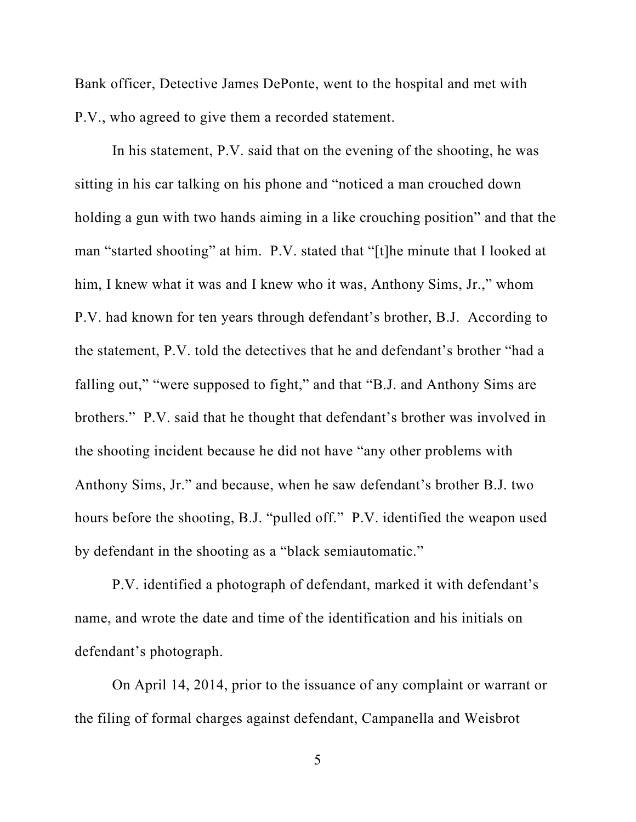Bank officer, Detective James DePonte, went to the hospital and met with P.V., who agreed to give them a recorded statement.

In his statement, P.V. said that on the evening of the shooting, he was sitting in his car talking on his phone and "noticed a man crouched down holding a gun with two hands aiming in a like crouching position" and that the man "started shooting" at him. P.V. stated that "[t]he minute that I looked at him, I knew what it was and I knew who it was, Anthony Sims, Jr.," whom P.V. had known for ten years through defendant's brother, B.J. According to the statement, P.V. told the detectives that he and defendant's brother "had a falling out," "were supposed to fight," and that "B.J. and Anthony Sims are brothers." P.V. said that he thought that defendant's brother was involved in the shooting incident because he did not have "any other problems with Anthony Sims, Jr." and because, when he saw defendant's brother B.J. two hours before the shooting, B.J. "pulled off." P.V. identified the weapon used by defendant in the shooting as a "black semiautomatic."

P.V. identified a photograph of defendant, marked it with defendant's name, and wrote the date and time of the identification and his initials on defendant's photograph.

On April 14, 2014, prior to the issuance of any complaint or warrant or the filing of formal charges against defendant, Campanella and Weisbrot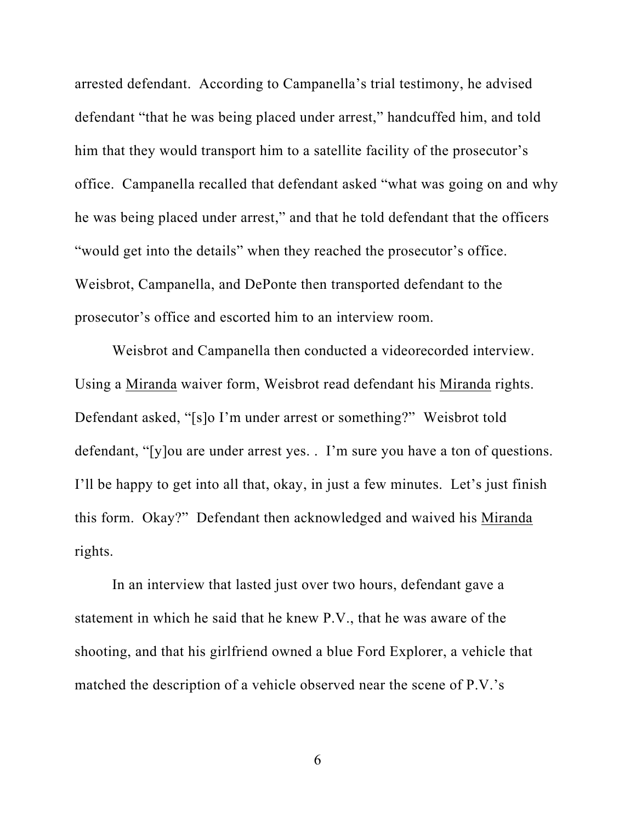arrested defendant. According to Campanella's trial testimony, he advised defendant "that he was being placed under arrest," handcuffed him, and told him that they would transport him to a satellite facility of the prosecutor's office. Campanella recalled that defendant asked "what was going on and why he was being placed under arrest," and that he told defendant that the officers "would get into the details" when they reached the prosecutor's office. Weisbrot, Campanella, and DePonte then transported defendant to the prosecutor's office and escorted him to an interview room.

Weisbrot and Campanella then conducted a videorecorded interview. Using a Miranda waiver form, Weisbrot read defendant his Miranda rights. Defendant asked, "[s]o I'm under arrest or something?" Weisbrot told defendant, "[y]ou are under arrest yes. . I'm sure you have a ton of questions. I'll be happy to get into all that, okay, in just a few minutes. Let's just finish this form. Okay?" Defendant then acknowledged and waived his Miranda rights.

In an interview that lasted just over two hours, defendant gave a statement in which he said that he knew P.V., that he was aware of the shooting, and that his girlfriend owned a blue Ford Explorer, a vehicle that matched the description of a vehicle observed near the scene of P.V.'s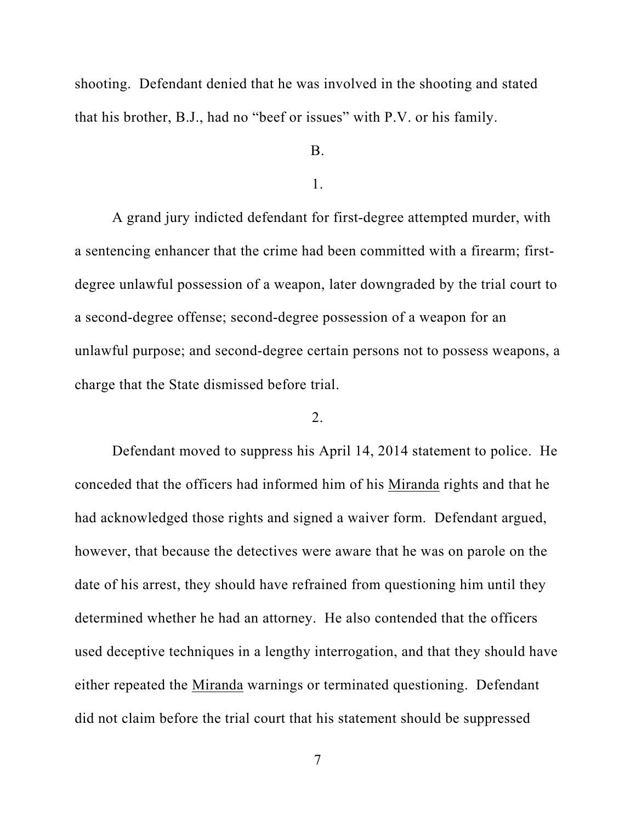shooting. Defendant denied that he was involved in the shooting and stated that his brother, B.J., had no "beef or issues" with P.V. or his family.

B.

1.

A grand jury indicted defendant for first-degree attempted murder, with a sentencing enhancer that the crime had been committed with a firearm; firstdegree unlawful possession of a weapon, later downgraded by the trial court to a second-degree offense; second-degree possession of a weapon for an unlawful purpose; and second-degree certain persons not to possess weapons, a charge that the State dismissed before trial.

## 2.

Defendant moved to suppress his April 14, 2014 statement to police. He conceded that the officers had informed him of his Miranda rights and that he had acknowledged those rights and signed a waiver form. Defendant argued, however, that because the detectives were aware that he was on parole on the date of his arrest, they should have refrained from questioning him until they determined whether he had an attorney. He also contended that the officers used deceptive techniques in a lengthy interrogation, and that they should have either repeated the Miranda warnings or terminated questioning. Defendant did not claim before the trial court that his statement should be suppressed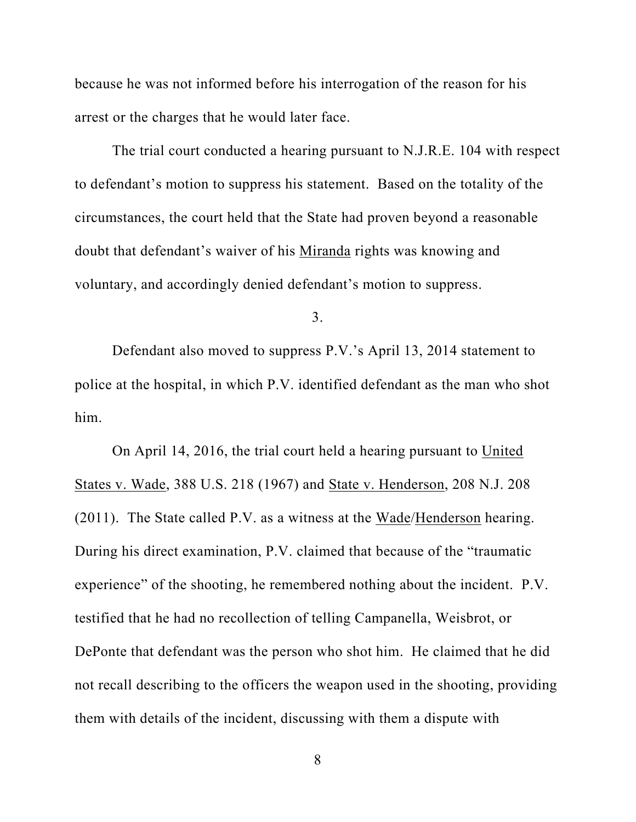because he was not informed before his interrogation of the reason for his arrest or the charges that he would later face.

The trial court conducted a hearing pursuant to N.J.R.E. 104 with respect to defendant's motion to suppress his statement. Based on the totality of the circumstances, the court held that the State had proven beyond a reasonable doubt that defendant's waiver of his Miranda rights was knowing and voluntary, and accordingly denied defendant's motion to suppress.

3.

Defendant also moved to suppress P.V.'s April 13, 2014 statement to police at the hospital, in which P.V. identified defendant as the man who shot him.

On April 14, 2016, the trial court held a hearing pursuant to United States v. Wade, 388 U.S. 218 (1967) and State v. Henderson, 208 N.J. 208 (2011). The State called P.V. as a witness at the Wade/Henderson hearing. During his direct examination, P.V. claimed that because of the "traumatic experience" of the shooting, he remembered nothing about the incident. P.V. testified that he had no recollection of telling Campanella, Weisbrot, or DePonte that defendant was the person who shot him. He claimed that he did not recall describing to the officers the weapon used in the shooting, providing them with details of the incident, discussing with them a dispute with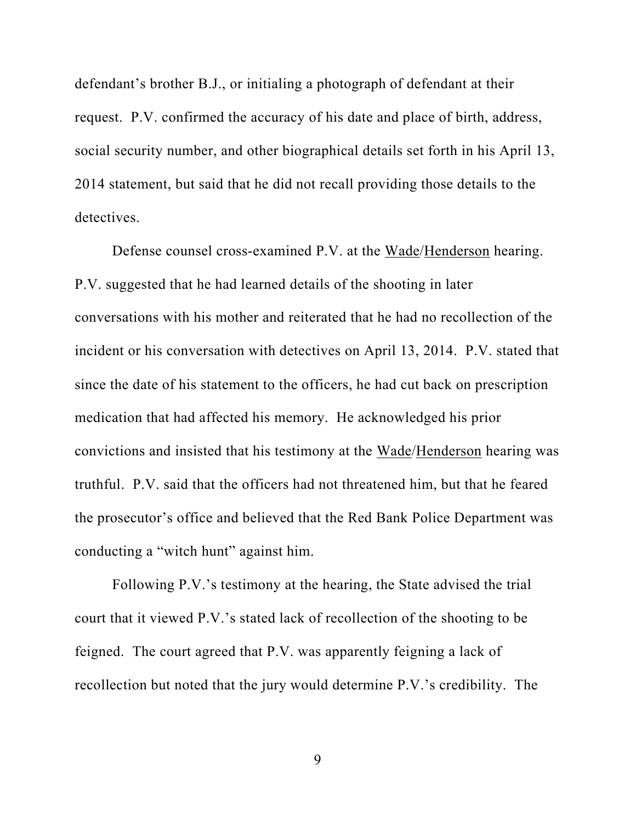defendant's brother B.J., or initialing a photograph of defendant at their request. P.V. confirmed the accuracy of his date and place of birth, address, social security number, and other biographical details set forth in his April 13, 2014 statement, but said that he did not recall providing those details to the detectives.

Defense counsel cross-examined P.V. at the Wade/Henderson hearing. P.V. suggested that he had learned details of the shooting in later conversations with his mother and reiterated that he had no recollection of the incident or his conversation with detectives on April 13, 2014. P.V. stated that since the date of his statement to the officers, he had cut back on prescription medication that had affected his memory. He acknowledged his prior convictions and insisted that his testimony at the Wade/Henderson hearing was truthful. P.V. said that the officers had not threatened him, but that he feared the prosecutor's office and believed that the Red Bank Police Department was conducting a "witch hunt" against him.

Following P.V.'s testimony at the hearing, the State advised the trial court that it viewed P.V.'s stated lack of recollection of the shooting to be feigned. The court agreed that P.V. was apparently feigning a lack of recollection but noted that the jury would determine P.V.'s credibility. The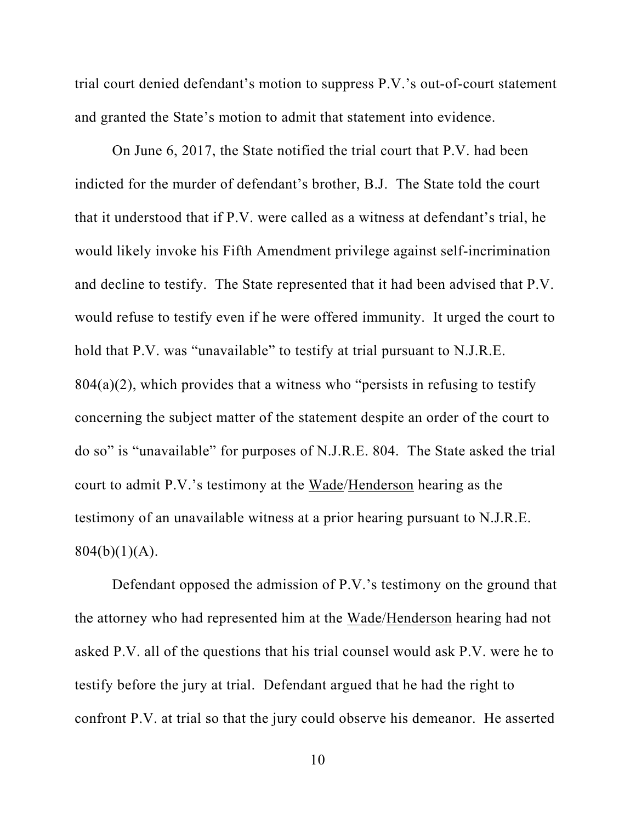trial court denied defendant's motion to suppress P.V.'s out-of-court statement and granted the State's motion to admit that statement into evidence.

On June 6, 2017, the State notified the trial court that P.V. had been indicted for the murder of defendant's brother, B.J. The State told the court that it understood that if P.V. were called as a witness at defendant's trial, he would likely invoke his Fifth Amendment privilege against self-incrimination and decline to testify. The State represented that it had been advised that P.V. would refuse to testify even if he were offered immunity. It urged the court to hold that P.V. was "unavailable" to testify at trial pursuant to N.J.R.E.  $804(a)(2)$ , which provides that a witness who "persists in refusing to testify concerning the subject matter of the statement despite an order of the court to do so" is "unavailable" for purposes of N.J.R.E. 804. The State asked the trial court to admit P.V.'s testimony at the Wade/Henderson hearing as the testimony of an unavailable witness at a prior hearing pursuant to N.J.R.E.  $804(b)(1)(A)$ .

Defendant opposed the admission of P.V.'s testimony on the ground that the attorney who had represented him at the Wade/Henderson hearing had not asked P.V. all of the questions that his trial counsel would ask P.V. were he to testify before the jury at trial. Defendant argued that he had the right to confront P.V. at trial so that the jury could observe his demeanor. He asserted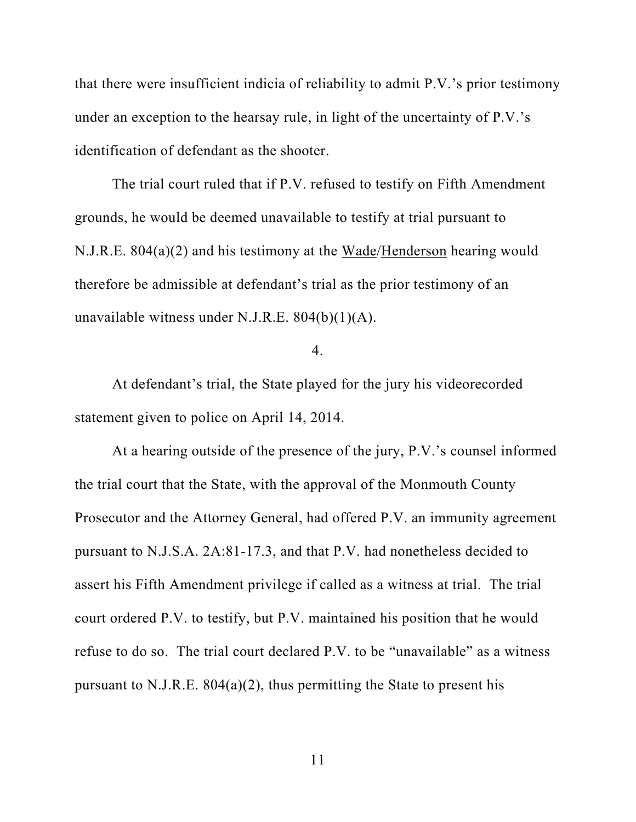that there were insufficient indicia of reliability to admit P.V.'s prior testimony under an exception to the hearsay rule, in light of the uncertainty of P.V.'s identification of defendant as the shooter.

The trial court ruled that if P.V. refused to testify on Fifth Amendment grounds, he would be deemed unavailable to testify at trial pursuant to N.J.R.E. 804(a)(2) and his testimony at the Wade/Henderson hearing would therefore be admissible at defendant's trial as the prior testimony of an unavailable witness under N.J.R.E. 804(b)(1)(A).

### 4.

At defendant's trial, the State played for the jury his videorecorded statement given to police on April 14, 2014.

At a hearing outside of the presence of the jury, P.V.'s counsel informed the trial court that the State, with the approval of the Monmouth County Prosecutor and the Attorney General, had offered P.V. an immunity agreement pursuant to N.J.S.A. 2A:81-17.3, and that P.V. had nonetheless decided to assert his Fifth Amendment privilege if called as a witness at trial. The trial court ordered P.V. to testify, but P.V. maintained his position that he would refuse to do so. The trial court declared P.V. to be "unavailable" as a witness pursuant to N.J.R.E.  $804(a)(2)$ , thus permitting the State to present his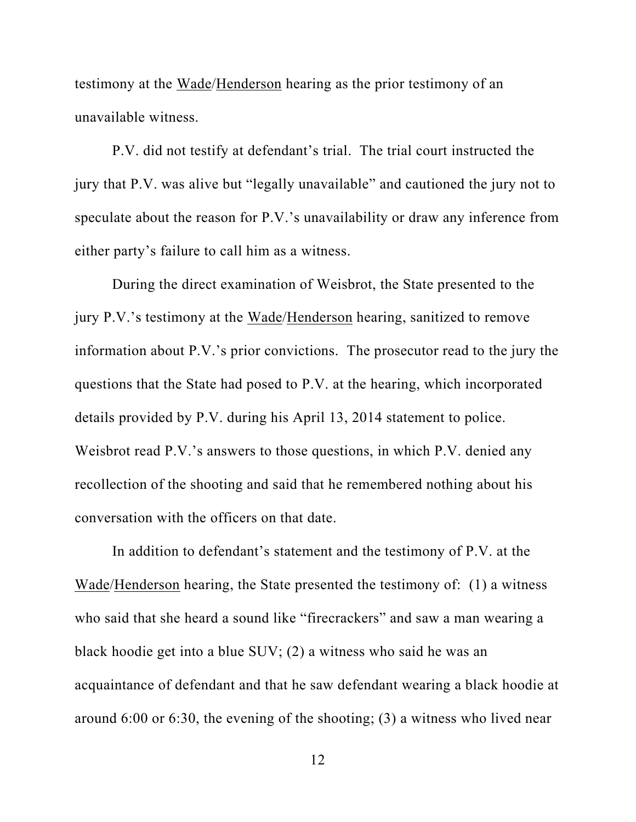testimony at the Wade/Henderson hearing as the prior testimony of an unavailable witness.

P.V. did not testify at defendant's trial. The trial court instructed the jury that P.V. was alive but "legally unavailable" and cautioned the jury not to speculate about the reason for P.V.'s unavailability or draw any inference from either party's failure to call him as a witness.

During the direct examination of Weisbrot, the State presented to the jury P.V.'s testimony at the Wade/Henderson hearing, sanitized to remove information about P.V.'s prior convictions. The prosecutor read to the jury the questions that the State had posed to P.V. at the hearing, which incorporated details provided by P.V. during his April 13, 2014 statement to police. Weisbrot read P.V.'s answers to those questions, in which P.V. denied any recollection of the shooting and said that he remembered nothing about his conversation with the officers on that date.

In addition to defendant's statement and the testimony of P.V. at the Wade/Henderson hearing, the State presented the testimony of: (1) a witness who said that she heard a sound like "firecrackers" and saw a man wearing a black hoodie get into a blue SUV; (2) a witness who said he was an acquaintance of defendant and that he saw defendant wearing a black hoodie at around 6:00 or 6:30, the evening of the shooting; (3) a witness who lived near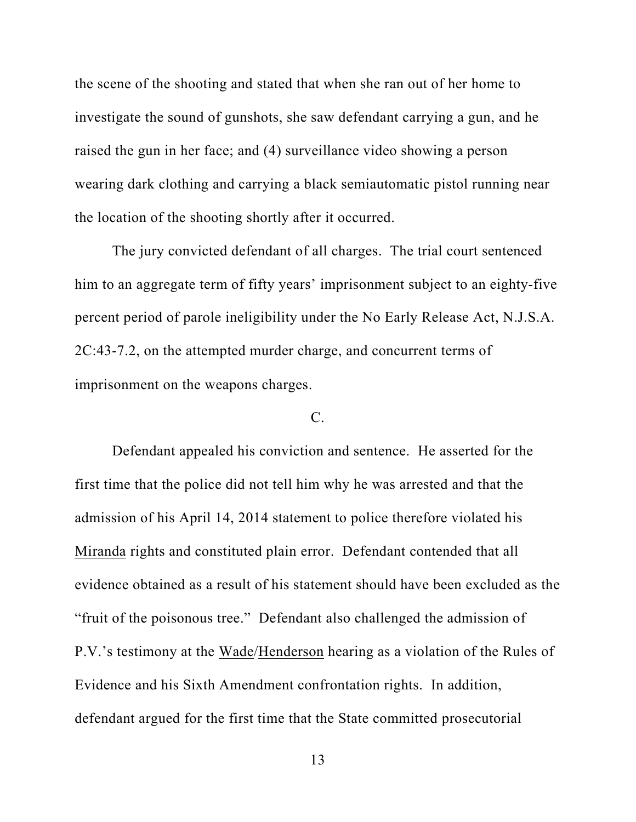the scene of the shooting and stated that when she ran out of her home to investigate the sound of gunshots, she saw defendant carrying a gun, and he raised the gun in her face; and (4) surveillance video showing a person wearing dark clothing and carrying a black semiautomatic pistol running near the location of the shooting shortly after it occurred.

The jury convicted defendant of all charges. The trial court sentenced him to an aggregate term of fifty years' imprisonment subject to an eighty-five percent period of parole ineligibility under the No Early Release Act, N.J.S.A. 2C:43-7.2, on the attempted murder charge, and concurrent terms of imprisonment on the weapons charges.

# $C<sub>1</sub>$

Defendant appealed his conviction and sentence. He asserted for the first time that the police did not tell him why he was arrested and that the admission of his April 14, 2014 statement to police therefore violated his Miranda rights and constituted plain error. Defendant contended that all evidence obtained as a result of his statement should have been excluded as the "fruit of the poisonous tree." Defendant also challenged the admission of P.V.'s testimony at the Wade/Henderson hearing as a violation of the Rules of Evidence and his Sixth Amendment confrontation rights. In addition, defendant argued for the first time that the State committed prosecutorial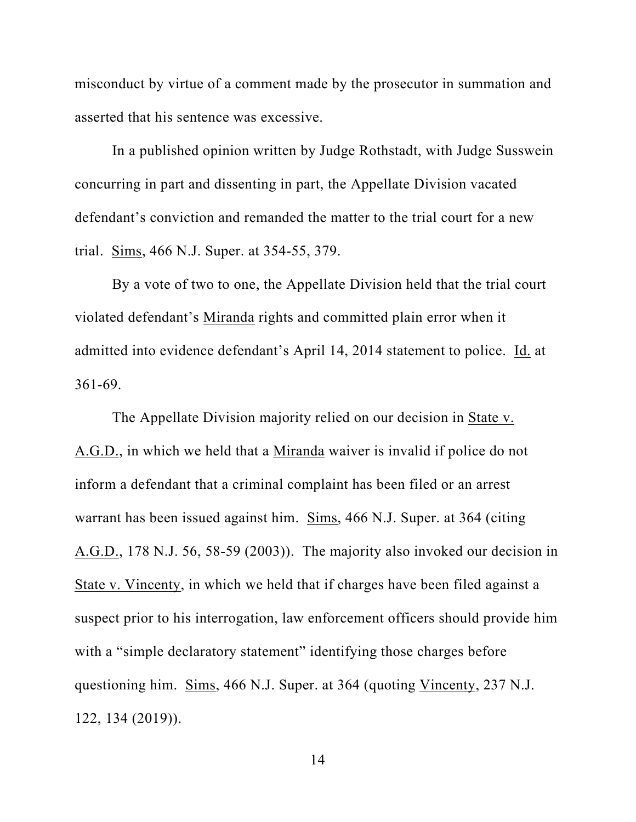misconduct by virtue of a comment made by the prosecutor in summation and asserted that his sentence was excessive.

In a published opinion written by Judge Rothstadt, with Judge Susswein concurring in part and dissenting in part, the Appellate Division vacated defendant's conviction and remanded the matter to the trial court for a new trial. Sims, 466 N.J. Super. at 354-55, 379.

By a vote of two to one, the Appellate Division held that the trial court violated defendant's Miranda rights and committed plain error when it admitted into evidence defendant's April 14, 2014 statement to police. Id. at 361-69.

The Appellate Division majority relied on our decision in State v. A.G.D., in which we held that a Miranda waiver is invalid if police do not inform a defendant that a criminal complaint has been filed or an arrest warrant has been issued against him. Sims, 466 N.J. Super. at 364 (citing A.G.D., 178 N.J. 56, 58-59 (2003)). The majority also invoked our decision in State v. Vincenty, in which we held that if charges have been filed against a suspect prior to his interrogation, law enforcement officers should provide him with a "simple declaratory statement" identifying those charges before questioning him. Sims, 466 N.J. Super. at 364 (quoting Vincenty, 237 N.J. 122, 134 (2019)).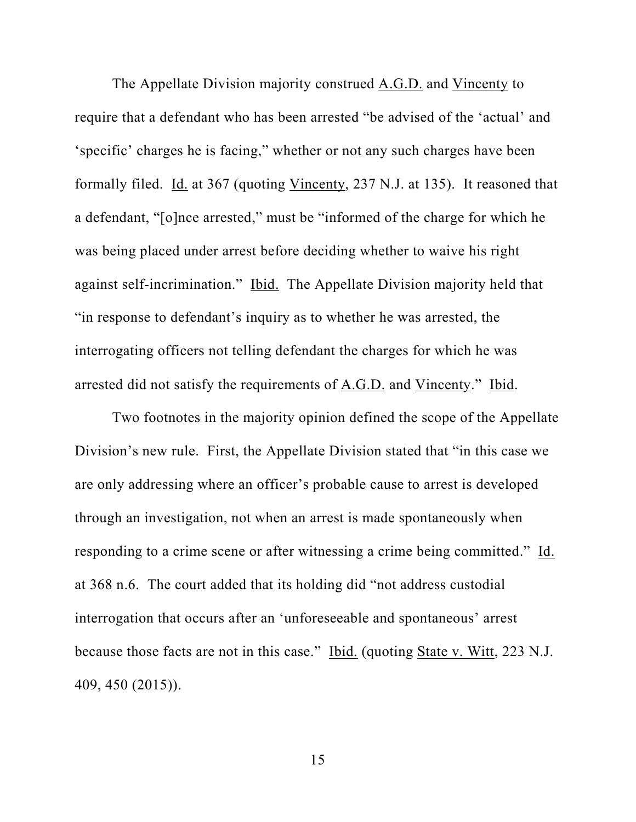The Appellate Division majority construed A.G.D. and Vincenty to require that a defendant who has been arrested "be advised of the 'actual' and 'specific' charges he is facing," whether or not any such charges have been formally filed. Id. at 367 (quoting Vincenty, 237 N.J. at 135). It reasoned that a defendant, "[o]nce arrested," must be "informed of the charge for which he was being placed under arrest before deciding whether to waive his right against self-incrimination." Ibid. The Appellate Division majority held that "in response to defendant's inquiry as to whether he was arrested, the interrogating officers not telling defendant the charges for which he was arrested did not satisfy the requirements of A.G.D. and Vincenty." Ibid.

Two footnotes in the majority opinion defined the scope of the Appellate Division's new rule. First, the Appellate Division stated that "in this case we are only addressing where an officer's probable cause to arrest is developed through an investigation, not when an arrest is made spontaneously when responding to a crime scene or after witnessing a crime being committed." Id. at 368 n.6. The court added that its holding did "not address custodial interrogation that occurs after an 'unforeseeable and spontaneous' arrest because those facts are not in this case." Ibid. (quoting State v. Witt, 223 N.J. 409, 450 (2015)).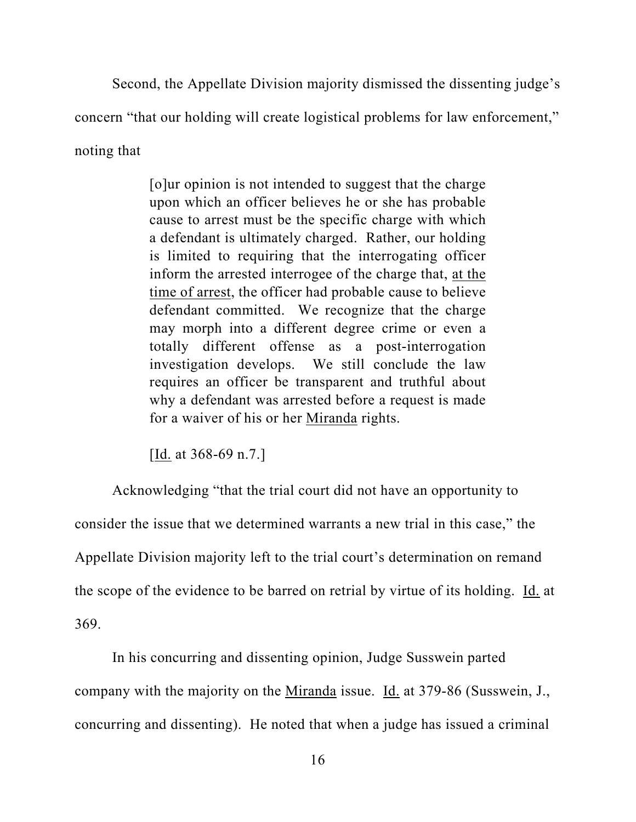Second, the Appellate Division majority dismissed the dissenting judge's

concern "that our holding will create logistical problems for law enforcement,"

noting that

[o]ur opinion is not intended to suggest that the charge upon which an officer believes he or she has probable cause to arrest must be the specific charge with which a defendant is ultimately charged. Rather, our holding is limited to requiring that the interrogating officer inform the arrested interrogee of the charge that, at the time of arrest, the officer had probable cause to believe defendant committed. We recognize that the charge may morph into a different degree crime or even a totally different offense as a post-interrogation investigation develops. We still conclude the law requires an officer be transparent and truthful about why a defendant was arrested before a request is made for a waiver of his or her Miranda rights.

[Id. at 368-69 n.7.]

Acknowledging "that the trial court did not have an opportunity to consider the issue that we determined warrants a new trial in this case," the Appellate Division majority left to the trial court's determination on remand the scope of the evidence to be barred on retrial by virtue of its holding. Id. at 369.

In his concurring and dissenting opinion, Judge Susswein parted company with the majority on the Miranda issue. Id. at 379-86 (Susswein, J., concurring and dissenting). He noted that when a judge has issued a criminal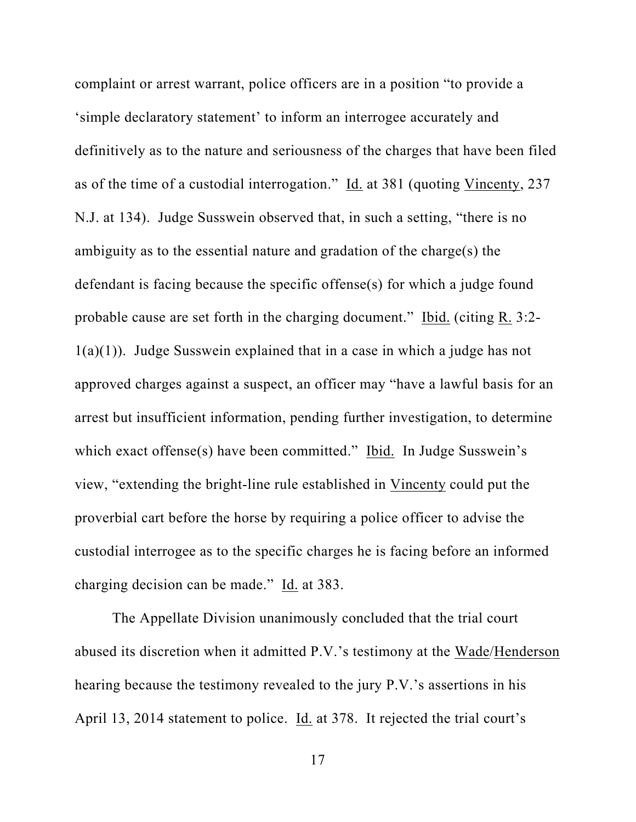complaint or arrest warrant, police officers are in a position "to provide a 'simple declaratory statement' to inform an interrogee accurately and definitively as to the nature and seriousness of the charges that have been filed as of the time of a custodial interrogation." Id. at 381 (quoting Vincenty, 237 N.J. at 134). Judge Susswein observed that, in such a setting, "there is no ambiguity as to the essential nature and gradation of the charge(s) the defendant is facing because the specific offense(s) for which a judge found probable cause are set forth in the charging document." Ibid. (citing R. 3:2-  $1(a)(1)$ ). Judge Susswein explained that in a case in which a judge has not approved charges against a suspect, an officer may "have a lawful basis for an arrest but insufficient information, pending further investigation, to determine which exact offense(s) have been committed." Ibid. In Judge Susswein's view, "extending the bright-line rule established in Vincenty could put the proverbial cart before the horse by requiring a police officer to advise the custodial interrogee as to the specific charges he is facing before an informed charging decision can be made." Id. at 383.

The Appellate Division unanimously concluded that the trial court abused its discretion when it admitted P.V.'s testimony at the Wade/Henderson hearing because the testimony revealed to the jury P.V.'s assertions in his April 13, 2014 statement to police. Id. at 378. It rejected the trial court's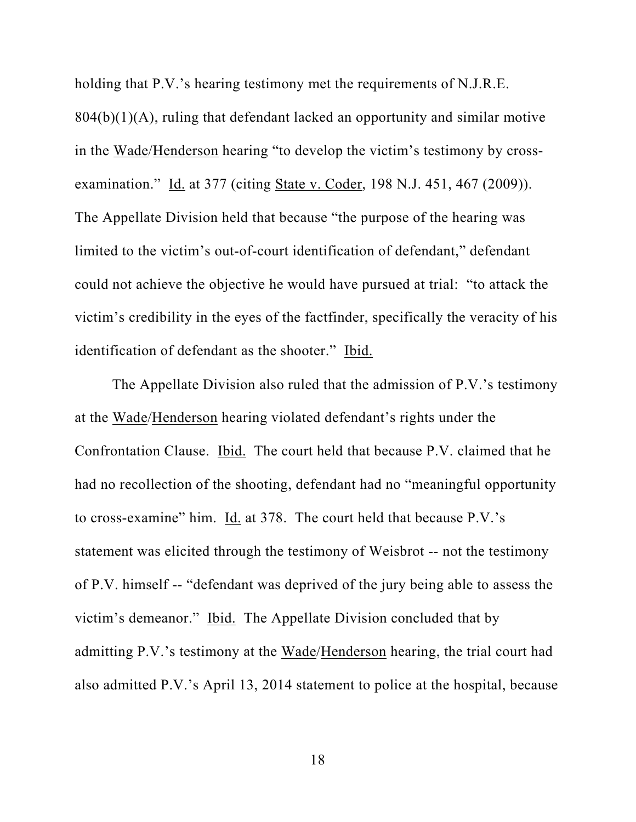holding that P.V.'s hearing testimony met the requirements of N.J.R.E. 804(b)(1)(A), ruling that defendant lacked an opportunity and similar motive in the Wade/Henderson hearing "to develop the victim's testimony by crossexamination." Id. at 377 (citing State v. Coder, 198 N.J. 451, 467 (2009)). The Appellate Division held that because "the purpose of the hearing was limited to the victim's out-of-court identification of defendant," defendant could not achieve the objective he would have pursued at trial: "to attack the victim's credibility in the eyes of the factfinder, specifically the veracity of his identification of defendant as the shooter." Ibid.

The Appellate Division also ruled that the admission of P.V.'s testimony at the Wade/Henderson hearing violated defendant's rights under the Confrontation Clause. Ibid. The court held that because P.V. claimed that he had no recollection of the shooting, defendant had no "meaningful opportunity to cross-examine" him. Id. at 378. The court held that because P.V.'s statement was elicited through the testimony of Weisbrot -- not the testimony of P.V. himself -- "defendant was deprived of the jury being able to assess the victim's demeanor." Ibid. The Appellate Division concluded that by admitting P.V.'s testimony at the Wade/Henderson hearing, the trial court had also admitted P.V.'s April 13, 2014 statement to police at the hospital, because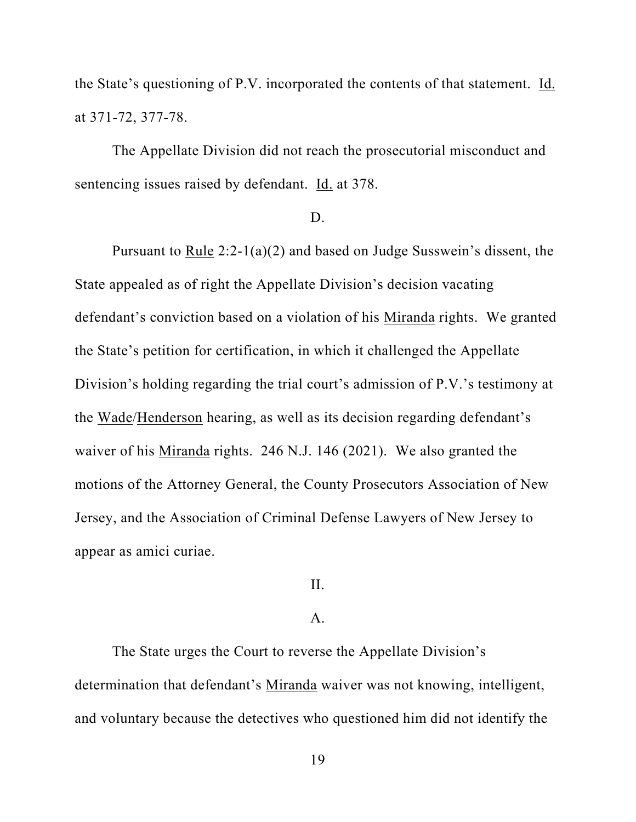the State's questioning of P.V. incorporated the contents of that statement. Id. at 371-72, 377-78.

The Appellate Division did not reach the prosecutorial misconduct and sentencing issues raised by defendant. Id. at 378.

#### D.

Pursuant to Rule 2:2-1(a)(2) and based on Judge Susswein's dissent, the State appealed as of right the Appellate Division's decision vacating defendant's conviction based on a violation of his Miranda rights. We granted the State's petition for certification, in which it challenged the Appellate Division's holding regarding the trial court's admission of P.V.'s testimony at the Wade/Henderson hearing, as well as its decision regarding defendant's waiver of his Miranda rights. 246 N.J. 146 (2021). We also granted the motions of the Attorney General, the County Prosecutors Association of New Jersey, and the Association of Criminal Defense Lawyers of New Jersey to appear as amici curiae.

#### II.

## $\mathbf{A}$ .

The State urges the Court to reverse the Appellate Division's determination that defendant's Miranda waiver was not knowing, intelligent, and voluntary because the detectives who questioned him did not identify the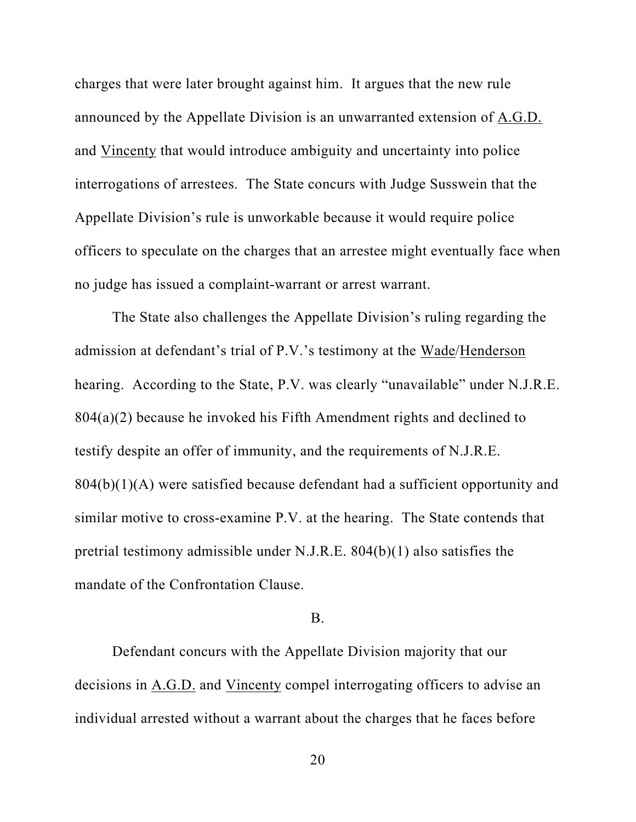charges that were later brought against him. It argues that the new rule announced by the Appellate Division is an unwarranted extension of A.G.D. and Vincenty that would introduce ambiguity and uncertainty into police interrogations of arrestees. The State concurs with Judge Susswein that the Appellate Division's rule is unworkable because it would require police officers to speculate on the charges that an arrestee might eventually face when no judge has issued a complaint-warrant or arrest warrant.

The State also challenges the Appellate Division's ruling regarding the admission at defendant's trial of P.V.'s testimony at the Wade/Henderson hearing. According to the State, P.V. was clearly "unavailable" under N.J.R.E. 804(a)(2) because he invoked his Fifth Amendment rights and declined to testify despite an offer of immunity, and the requirements of N.J.R.E. 804(b)(1)(A) were satisfied because defendant had a sufficient opportunity and similar motive to cross-examine P.V. at the hearing. The State contends that pretrial testimony admissible under N.J.R.E. 804(b)(1) also satisfies the mandate of the Confrontation Clause.

## B.

Defendant concurs with the Appellate Division majority that our decisions in A.G.D. and Vincenty compel interrogating officers to advise an individual arrested without a warrant about the charges that he faces before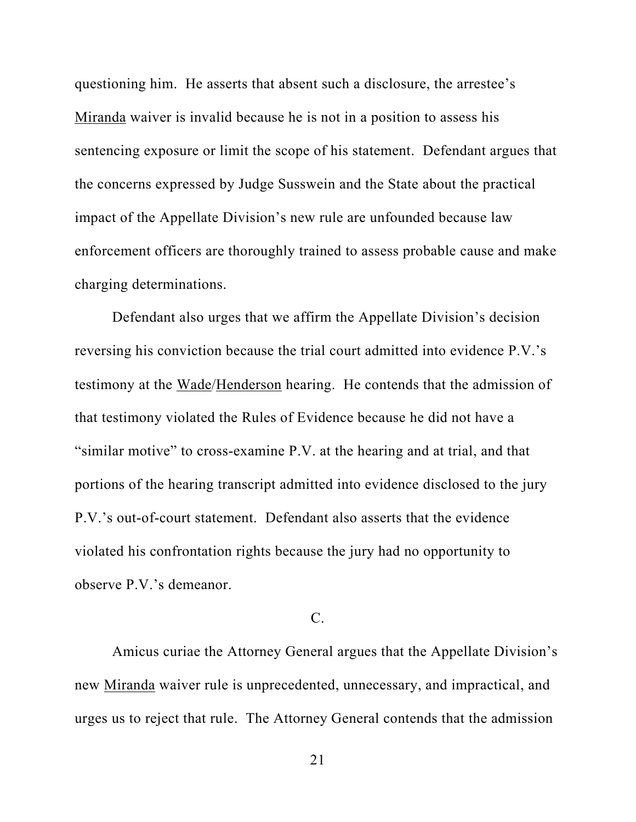questioning him. He asserts that absent such a disclosure, the arrestee's Miranda waiver is invalid because he is not in a position to assess his sentencing exposure or limit the scope of his statement. Defendant argues that the concerns expressed by Judge Susswein and the State about the practical impact of the Appellate Division's new rule are unfounded because law enforcement officers are thoroughly trained to assess probable cause and make charging determinations.

Defendant also urges that we affirm the Appellate Division's decision reversing his conviction because the trial court admitted into evidence P.V.'s testimony at the Wade/Henderson hearing. He contends that the admission of that testimony violated the Rules of Evidence because he did not have a "similar motive" to cross-examine P.V. at the hearing and at trial, and that portions of the hearing transcript admitted into evidence disclosed to the jury P.V.'s out-of-court statement. Defendant also asserts that the evidence violated his confrontation rights because the jury had no opportunity to observe P.V.'s demeanor.

# $C_{\cdot}$

Amicus curiae the Attorney General argues that the Appellate Division's new Miranda waiver rule is unprecedented, unnecessary, and impractical, and urges us to reject that rule. The Attorney General contends that the admission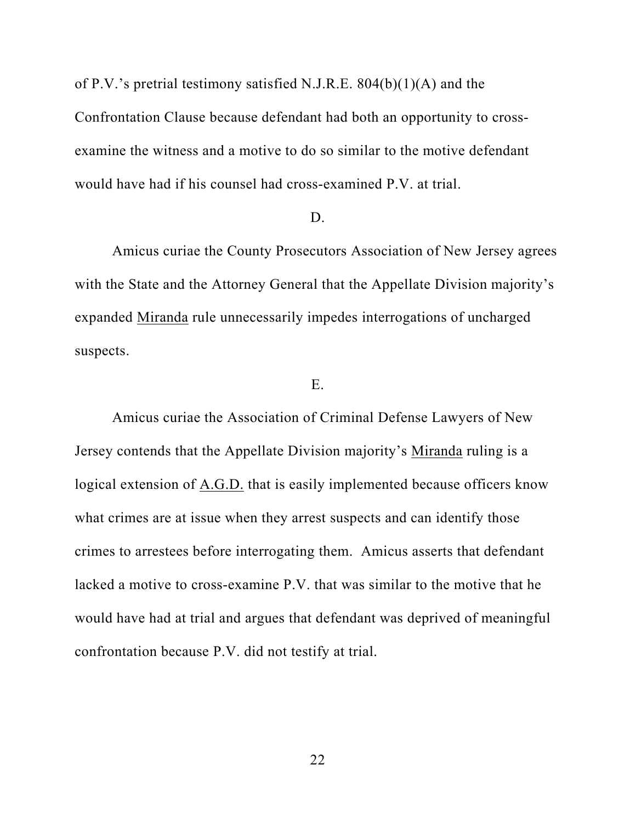of P.V.'s pretrial testimony satisfied N.J.R.E.  $804(b)(1)(A)$  and the Confrontation Clause because defendant had both an opportunity to crossexamine the witness and a motive to do so similar to the motive defendant would have had if his counsel had cross-examined P.V. at trial.

### D.

Amicus curiae the County Prosecutors Association of New Jersey agrees with the State and the Attorney General that the Appellate Division majority's expanded Miranda rule unnecessarily impedes interrogations of uncharged suspects.

# E.

Amicus curiae the Association of Criminal Defense Lawyers of New Jersey contends that the Appellate Division majority's Miranda ruling is a logical extension of A.G.D. that is easily implemented because officers know what crimes are at issue when they arrest suspects and can identify those crimes to arrestees before interrogating them. Amicus asserts that defendant lacked a motive to cross-examine P.V. that was similar to the motive that he would have had at trial and argues that defendant was deprived of meaningful confrontation because P.V. did not testify at trial.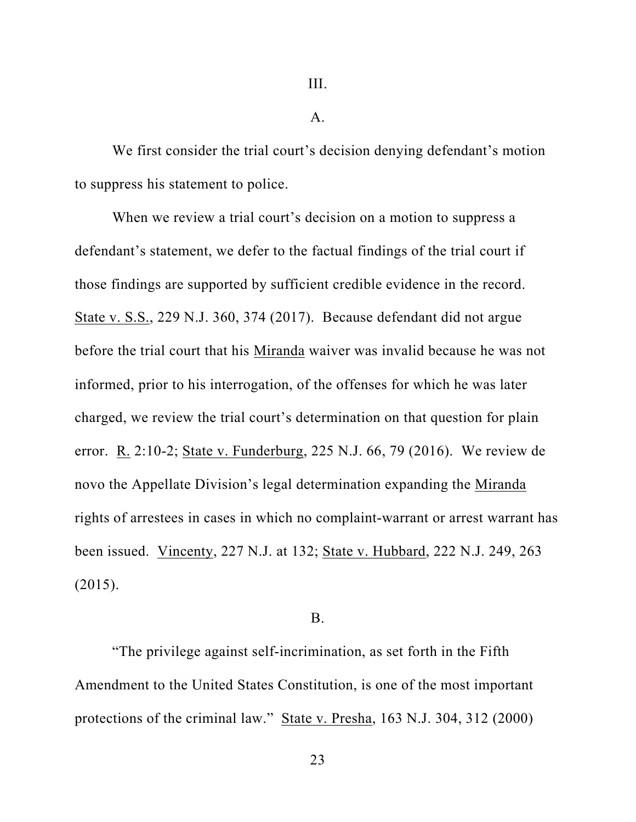III.

 $A<sub>1</sub>$ 

We first consider the trial court's decision denying defendant's motion to suppress his statement to police.

When we review a trial court's decision on a motion to suppress a defendant's statement, we defer to the factual findings of the trial court if those findings are supported by sufficient credible evidence in the record. State v. S.S., 229 N.J. 360, 374 (2017). Because defendant did not argue before the trial court that his Miranda waiver was invalid because he was not informed, prior to his interrogation, of the offenses for which he was later charged, we review the trial court's determination on that question for plain error. R. 2:10-2; State v. Funderburg, 225 N.J. 66, 79 (2016). We review de novo the Appellate Division's legal determination expanding the Miranda rights of arrestees in cases in which no complaint-warrant or arrest warrant has been issued. Vincenty, 227 N.J. at 132; State v. Hubbard, 222 N.J. 249, 263 (2015).

#### B.

"The privilege against self-incrimination, as set forth in the Fifth Amendment to the United States Constitution, is one of the most important protections of the criminal law." State v. Presha, 163 N.J. 304, 312 (2000)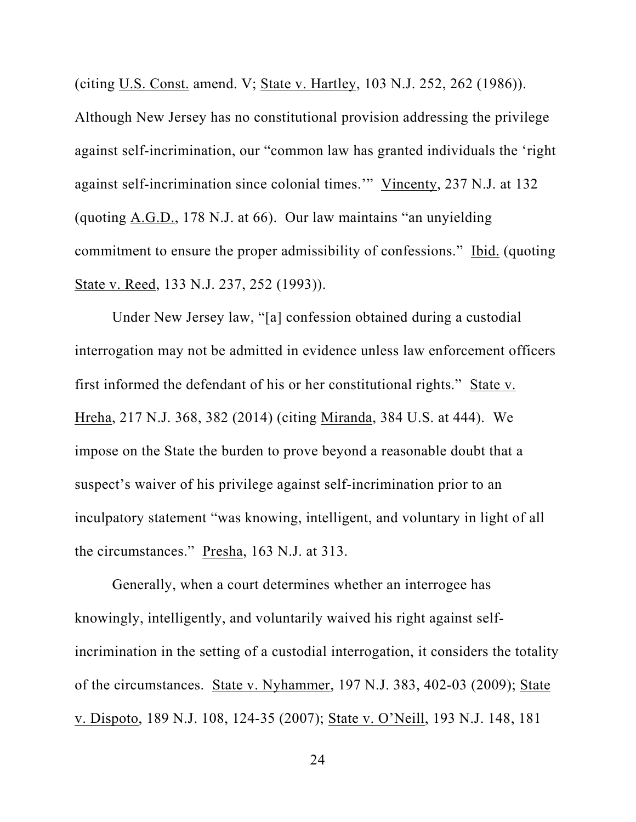(citing U.S. Const. amend. V; State v. Hartley, 103 N.J. 252, 262 (1986)).

Although New Jersey has no constitutional provision addressing the privilege against self-incrimination, our "common law has granted individuals the 'right against self-incrimination since colonial times.'" Vincenty, 237 N.J. at 132 (quoting A.G.D., 178 N.J. at 66). Our law maintains "an unyielding commitment to ensure the proper admissibility of confessions." Ibid. (quoting State v. Reed, 133 N.J. 237, 252 (1993)).

Under New Jersey law, "[a] confession obtained during a custodial interrogation may not be admitted in evidence unless law enforcement officers first informed the defendant of his or her constitutional rights." State v. Hreha, 217 N.J. 368, 382 (2014) (citing Miranda, 384 U.S. at 444). We impose on the State the burden to prove beyond a reasonable doubt that a suspect's waiver of his privilege against self-incrimination prior to an inculpatory statement "was knowing, intelligent, and voluntary in light of all the circumstances." Presha, 163 N.J. at 313.

Generally, when a court determines whether an interrogee has knowingly, intelligently, and voluntarily waived his right against selfincrimination in the setting of a custodial interrogation, it considers the totality of the circumstances. State v. Nyhammer, 197 N.J. 383, 402-03 (2009); State v. Dispoto, 189 N.J. 108, 124-35 (2007); State v. O'Neill, 193 N.J. 148, 181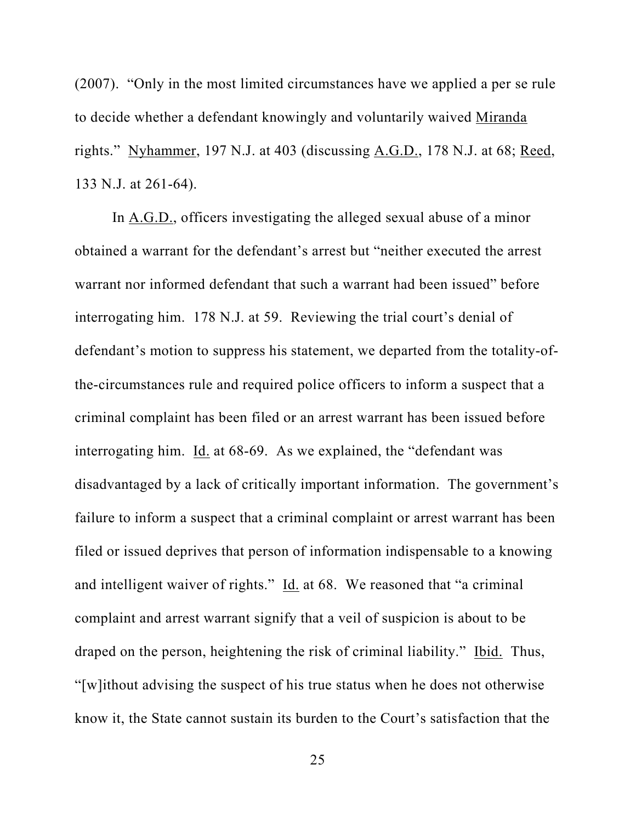(2007). "Only in the most limited circumstances have we applied a per se rule to decide whether a defendant knowingly and voluntarily waived Miranda rights." Nyhammer, 197 N.J. at 403 (discussing A.G.D., 178 N.J. at 68; Reed, 133 N.J. at 261-64).

In A.G.D., officers investigating the alleged sexual abuse of a minor obtained a warrant for the defendant's arrest but "neither executed the arrest warrant nor informed defendant that such a warrant had been issued" before interrogating him. 178 N.J. at 59. Reviewing the trial court's denial of defendant's motion to suppress his statement, we departed from the totality-ofthe-circumstances rule and required police officers to inform a suspect that a criminal complaint has been filed or an arrest warrant has been issued before interrogating him. Id. at 68-69. As we explained, the "defendant was disadvantaged by a lack of critically important information. The government's failure to inform a suspect that a criminal complaint or arrest warrant has been filed or issued deprives that person of information indispensable to a knowing and intelligent waiver of rights." Id. at 68. We reasoned that "a criminal complaint and arrest warrant signify that a veil of suspicion is about to be draped on the person, heightening the risk of criminal liability." Ibid. Thus, "[w]ithout advising the suspect of his true status when he does not otherwise know it, the State cannot sustain its burden to the Court's satisfaction that the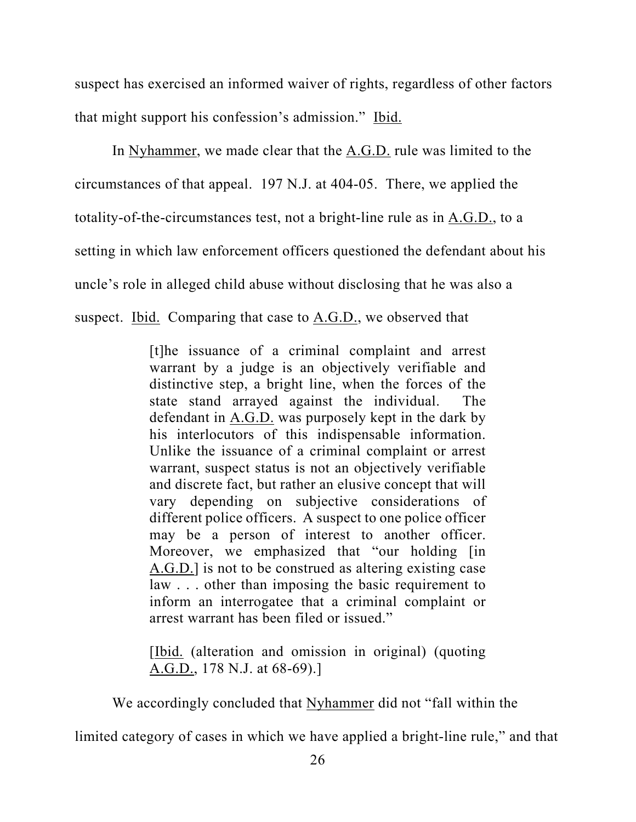suspect has exercised an informed waiver of rights, regardless of other factors that might support his confession's admission." Ibid.

In Nyhammer, we made clear that the A.G.D. rule was limited to the circumstances of that appeal. 197 N.J. at 404-05. There, we applied the totality-of-the-circumstances test, not a bright-line rule as in A.G.D., to a setting in which law enforcement officers questioned the defendant about his uncle's role in alleged child abuse without disclosing that he was also a suspect. Ibid. Comparing that case to A.G.D., we observed that

> [t]he issuance of a criminal complaint and arrest warrant by a judge is an objectively verifiable and distinctive step, a bright line, when the forces of the state stand arrayed against the individual. The defendant in A.G.D. was purposely kept in the dark by his interlocutors of this indispensable information. Unlike the issuance of a criminal complaint or arrest warrant, suspect status is not an objectively verifiable and discrete fact, but rather an elusive concept that will vary depending on subjective considerations of different police officers. A suspect to one police officer may be a person of interest to another officer. Moreover, we emphasized that "our holding [in A.G.D.] is not to be construed as altering existing case law . . . other than imposing the basic requirement to inform an interrogatee that a criminal complaint or arrest warrant has been filed or issued."

> [Ibid. (alteration and omission in original) (quoting A.G.D., 178 N.J. at 68-69).]

We accordingly concluded that Nyhammer did not "fall within the

limited category of cases in which we have applied a bright-line rule," and that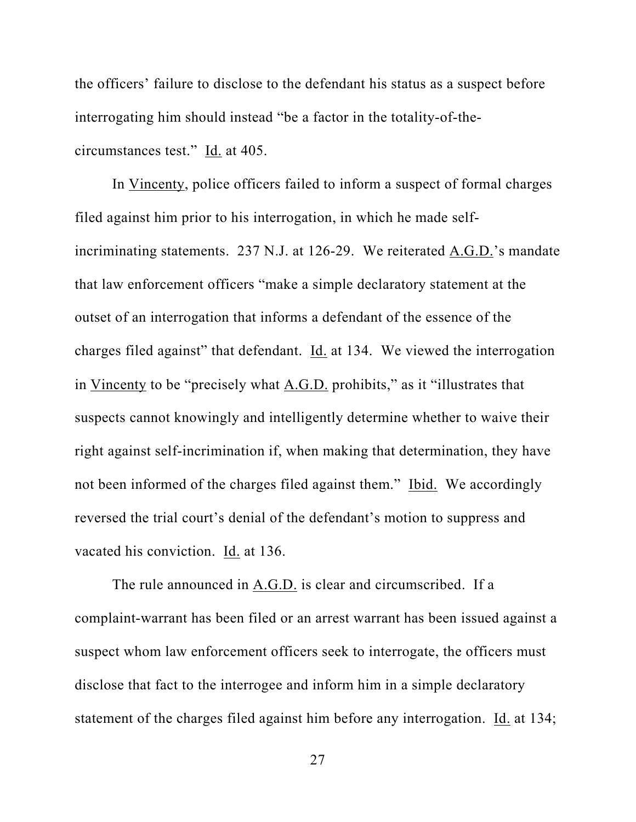the officers' failure to disclose to the defendant his status as a suspect before interrogating him should instead "be a factor in the totality-of-thecircumstances test." Id. at 405.

In Vincenty, police officers failed to inform a suspect of formal charges filed against him prior to his interrogation, in which he made selfincriminating statements. 237 N.J. at 126-29. We reiterated A.G.D.'s mandate that law enforcement officers "make a simple declaratory statement at the outset of an interrogation that informs a defendant of the essence of the charges filed against" that defendant. Id. at 134. We viewed the interrogation in Vincenty to be "precisely what A.G.D. prohibits," as it "illustrates that suspects cannot knowingly and intelligently determine whether to waive their right against self-incrimination if, when making that determination, they have not been informed of the charges filed against them." Ibid. We accordingly reversed the trial court's denial of the defendant's motion to suppress and vacated his conviction. Id. at 136.

The rule announced in A.G.D. is clear and circumscribed. If a complaint-warrant has been filed or an arrest warrant has been issued against a suspect whom law enforcement officers seek to interrogate, the officers must disclose that fact to the interrogee and inform him in a simple declaratory statement of the charges filed against him before any interrogation. Id. at 134;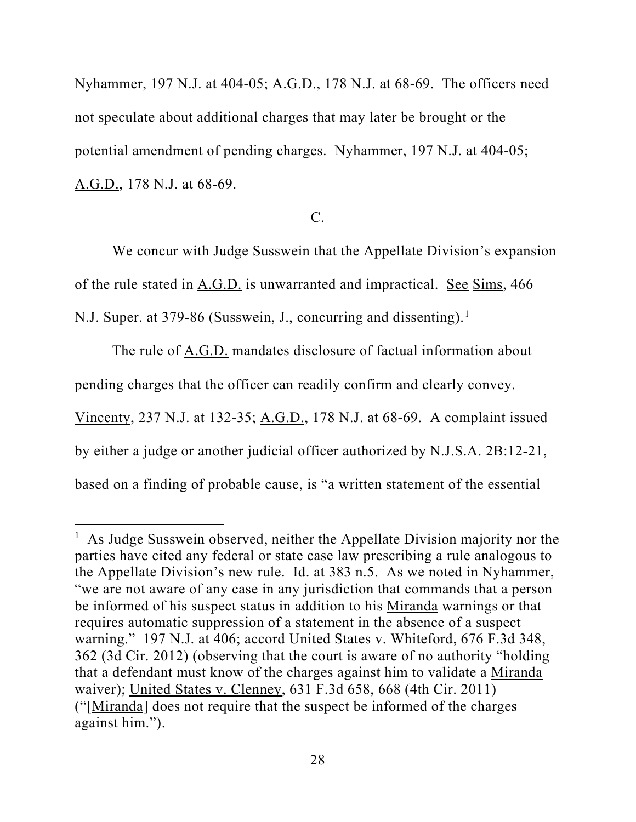Nyhammer, 197 N.J. at 404-05; A.G.D., 178 N.J. at 68-69. The officers need not speculate about additional charges that may later be brought or the potential amendment of pending charges. Nyhammer, 197 N.J. at 404-05; A.G.D., 178 N.J. at 68-69.

### C.

We concur with Judge Susswein that the Appellate Division's expansion of the rule stated in A.G.D. is unwarranted and impractical. See Sims, 466 N.J. Super. at 379-86 (Susswein, J., concurring and dissenting).<sup>1</sup>

The rule of A.G.D. mandates disclosure of factual information about pending charges that the officer can readily confirm and clearly convey. Vincenty, 237 N.J. at 132-35; A.G.D., 178 N.J. at 68-69. A complaint issued by either a judge or another judicial officer authorized by N.J.S.A. 2B:12-21, based on a finding of probable cause, is "a written statement of the essential

<sup>&</sup>lt;sup>1</sup> As Judge Susswein observed, neither the Appellate Division majority nor the parties have cited any federal or state case law prescribing a rule analogous to the Appellate Division's new rule. Id. at 383 n.5. As we noted in Nyhammer, "we are not aware of any case in any jurisdiction that commands that a person be informed of his suspect status in addition to his Miranda warnings or that requires automatic suppression of a statement in the absence of a suspect warning." 197 N.J. at 406; accord United States v. Whiteford, 676 F.3d 348, 362 (3d Cir. 2012) (observing that the court is aware of no authority "holding that a defendant must know of the charges against him to validate a Miranda waiver); United States v. Clenney, 631 F.3d 658, 668 (4th Cir. 2011) ("[Miranda] does not require that the suspect be informed of the charges against him.").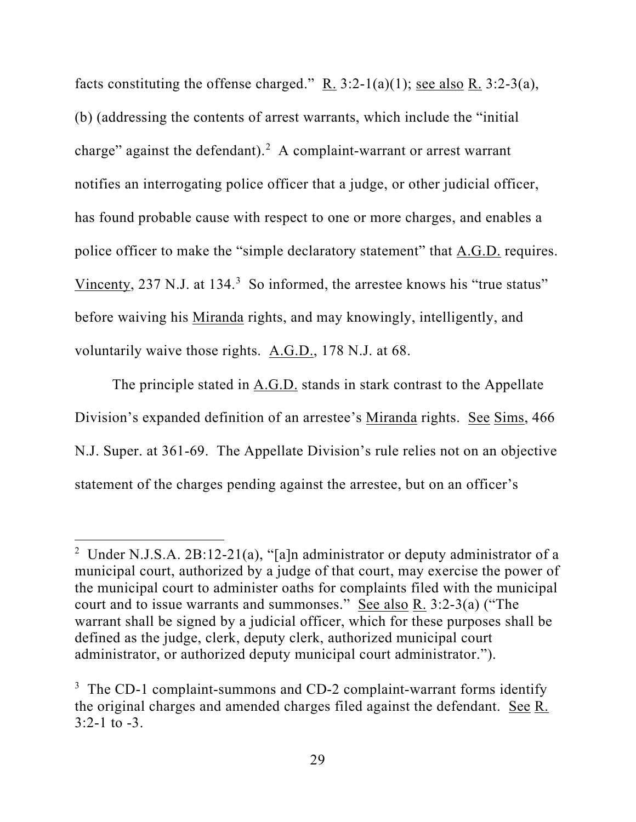facts constituting the offense charged." R.  $3:2-1(a)(1)$ ; see also R.  $3:2-3(a)$ , (b) (addressing the contents of arrest warrants, which include the "initial charge" against the defendant).<sup>2</sup> A complaint-warrant or arrest warrant notifies an interrogating police officer that a judge, or other judicial officer, has found probable cause with respect to one or more charges, and enables a police officer to make the "simple declaratory statement" that A.G.D. requires. Vincenty, 237 N.J. at 134.<sup>3</sup> So informed, the arrestee knows his "true status" before waiving his Miranda rights, and may knowingly, intelligently, and voluntarily waive those rights. A.G.D., 178 N.J. at 68.

The principle stated in A.G.D. stands in stark contrast to the Appellate Division's expanded definition of an arrestee's Miranda rights. See Sims, 466 N.J. Super. at 361-69. The Appellate Division's rule relies not on an objective statement of the charges pending against the arrestee, but on an officer's

<sup>&</sup>lt;sup>2</sup> Under N.J.S.A. 2B:12-21(a), "[a]n administrator or deputy administrator of a municipal court, authorized by a judge of that court, may exercise the power of the municipal court to administer oaths for complaints filed with the municipal court and to issue warrants and summonses." See also R.  $3:2-3(a)$  ("The warrant shall be signed by a judicial officer, which for these purposes shall be defined as the judge, clerk, deputy clerk, authorized municipal court administrator, or authorized deputy municipal court administrator.").

 $3$  The CD-1 complaint-summons and CD-2 complaint-warrant forms identify the original charges and amended charges filed against the defendant. See R. 3:2-1 to -3.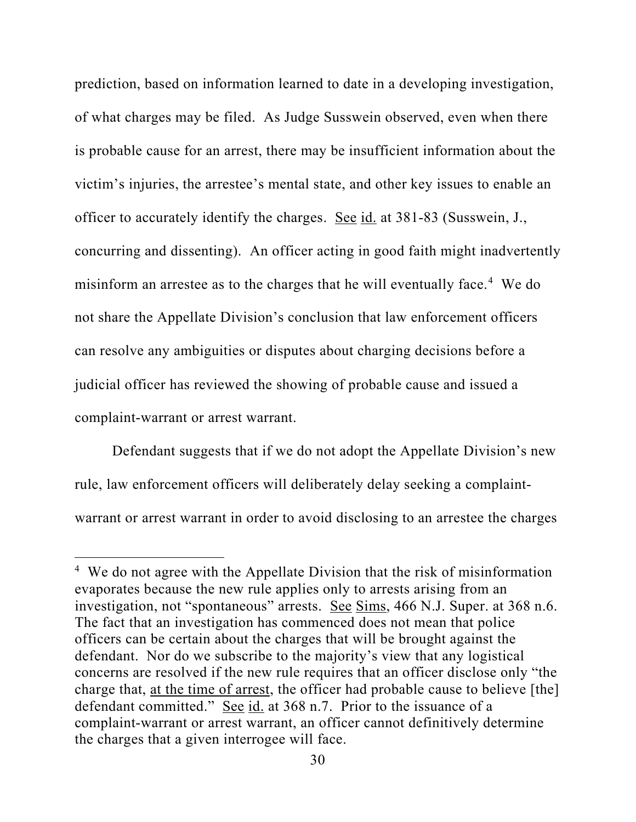prediction, based on information learned to date in a developing investigation, of what charges may be filed. As Judge Susswein observed, even when there is probable cause for an arrest, there may be insufficient information about the victim's injuries, the arrestee's mental state, and other key issues to enable an officer to accurately identify the charges. See id. at 381-83 (Susswein, J., concurring and dissenting). An officer acting in good faith might inadvertently misinform an arrestee as to the charges that he will eventually face.<sup>4</sup> We do not share the Appellate Division's conclusion that law enforcement officers can resolve any ambiguities or disputes about charging decisions before a judicial officer has reviewed the showing of probable cause and issued a complaint-warrant or arrest warrant.

Defendant suggests that if we do not adopt the Appellate Division's new rule, law enforcement officers will deliberately delay seeking a complaintwarrant or arrest warrant in order to avoid disclosing to an arrestee the charges

<sup>&</sup>lt;sup>4</sup> We do not agree with the Appellate Division that the risk of misinformation evaporates because the new rule applies only to arrests arising from an investigation, not "spontaneous" arrests. See Sims, 466 N.J. Super. at 368 n.6. The fact that an investigation has commenced does not mean that police officers can be certain about the charges that will be brought against the defendant. Nor do we subscribe to the majority's view that any logistical concerns are resolved if the new rule requires that an officer disclose only "the charge that, at the time of arrest, the officer had probable cause to believe [the] defendant committed." See id. at 368 n.7. Prior to the issuance of a complaint-warrant or arrest warrant, an officer cannot definitively determine the charges that a given interrogee will face.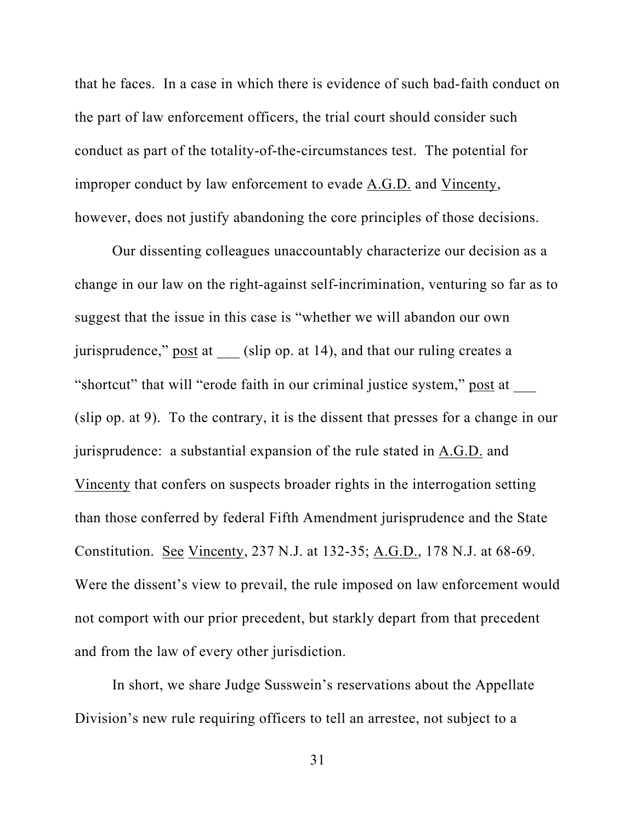that he faces. In a case in which there is evidence of such bad-faith conduct on the part of law enforcement officers, the trial court should consider such conduct as part of the totality-of-the-circumstances test. The potential for improper conduct by law enforcement to evade A.G.D. and Vincenty, however, does not justify abandoning the core principles of those decisions.

Our dissenting colleagues unaccountably characterize our decision as a change in our law on the right-against self-incrimination, venturing so far as to suggest that the issue in this case is "whether we will abandon our own jurisprudence," post at (slip op. at 14), and that our ruling creates a "shortcut" that will "erode faith in our criminal justice system," post at (slip op. at 9). To the contrary, it is the dissent that presses for a change in our jurisprudence: a substantial expansion of the rule stated in A.G.D. and Vincenty that confers on suspects broader rights in the interrogation setting than those conferred by federal Fifth Amendment jurisprudence and the State Constitution. See Vincenty, 237 N.J. at 132-35; A.G.D., 178 N.J. at 68-69. Were the dissent's view to prevail, the rule imposed on law enforcement would not comport with our prior precedent, but starkly depart from that precedent and from the law of every other jurisdiction.

In short, we share Judge Susswein's reservations about the Appellate Division's new rule requiring officers to tell an arrestee, not subject to a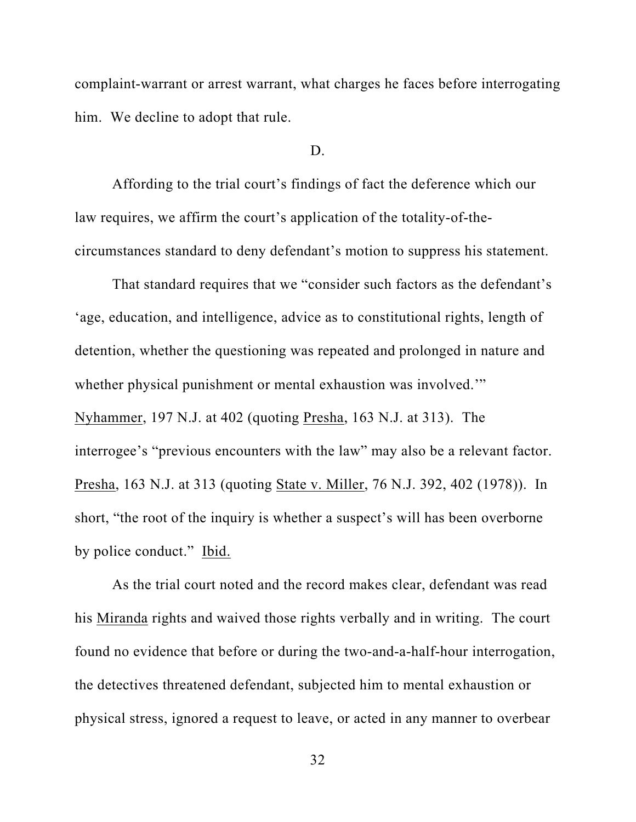complaint-warrant or arrest warrant, what charges he faces before interrogating him. We decline to adopt that rule.

#### D.

Affording to the trial court's findings of fact the deference which our law requires, we affirm the court's application of the totality-of-thecircumstances standard to deny defendant's motion to suppress his statement.

That standard requires that we "consider such factors as the defendant's 'age, education, and intelligence, advice as to constitutional rights, length of detention, whether the questioning was repeated and prolonged in nature and whether physical punishment or mental exhaustion was involved." Nyhammer, 197 N.J. at 402 (quoting Presha, 163 N.J. at 313). The interrogee's "previous encounters with the law" may also be a relevant factor. Presha, 163 N.J. at 313 (quoting State v. Miller, 76 N.J. 392, 402 (1978)). In short, "the root of the inquiry is whether a suspect's will has been overborne by police conduct." Ibid.

As the trial court noted and the record makes clear, defendant was read his Miranda rights and waived those rights verbally and in writing. The court found no evidence that before or during the two-and-a-half-hour interrogation, the detectives threatened defendant, subjected him to mental exhaustion or physical stress, ignored a request to leave, or acted in any manner to overbear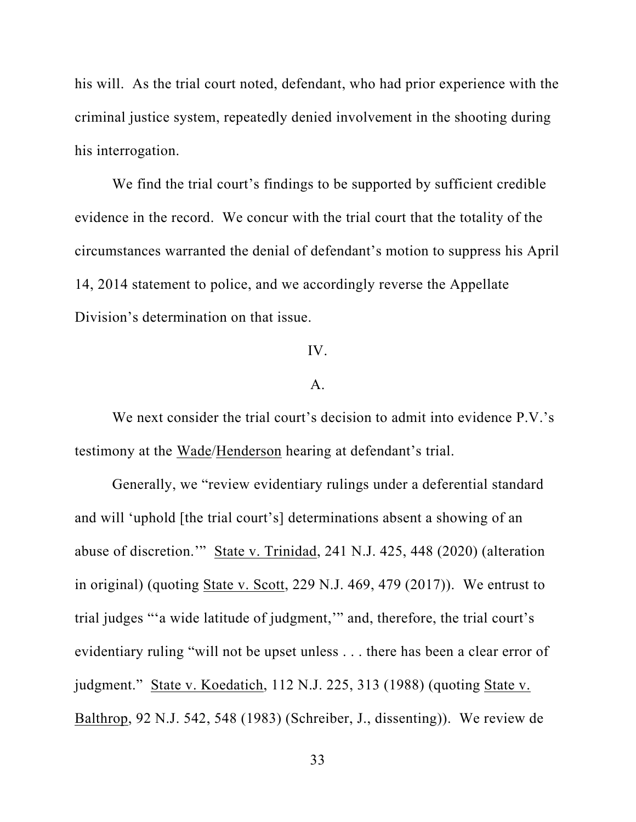his will. As the trial court noted, defendant, who had prior experience with the criminal justice system, repeatedly denied involvement in the shooting during his interrogation.

We find the trial court's findings to be supported by sufficient credible evidence in the record. We concur with the trial court that the totality of the circumstances warranted the denial of defendant's motion to suppress his April 14, 2014 statement to police, and we accordingly reverse the Appellate Division's determination on that issue.

## IV.

#### A.

We next consider the trial court's decision to admit into evidence P.V.'s testimony at the Wade/Henderson hearing at defendant's trial.

Generally, we "review evidentiary rulings under a deferential standard and will 'uphold [the trial court's] determinations absent a showing of an abuse of discretion.'" State v. Trinidad, 241 N.J. 425, 448 (2020) (alteration in original) (quoting State v. Scott, 229 N.J. 469, 479 (2017)). We entrust to trial judges "'a wide latitude of judgment,'" and, therefore, the trial court's evidentiary ruling "will not be upset unless . . . there has been a clear error of judgment." State v. Koedatich, 112 N.J. 225, 313 (1988) (quoting State v. Balthrop, 92 N.J. 542, 548 (1983) (Schreiber, J., dissenting)). We review de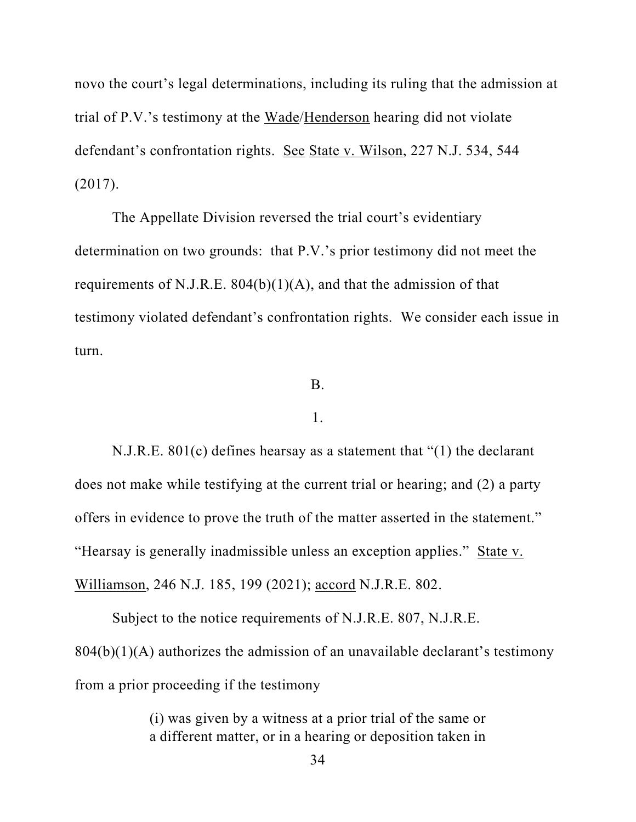novo the court's legal determinations, including its ruling that the admission at trial of P.V.'s testimony at the Wade/Henderson hearing did not violate defendant's confrontation rights. See State v. Wilson, 227 N.J. 534, 544 (2017).

The Appellate Division reversed the trial court's evidentiary determination on two grounds: that P.V.'s prior testimony did not meet the requirements of N.J.R.E.  $804(b)(1)(A)$ , and that the admission of that testimony violated defendant's confrontation rights. We consider each issue in turn.

## B.

### 1.

N.J.R.E. 801(c) defines hearsay as a statement that "(1) the declarant does not make while testifying at the current trial or hearing; and (2) a party offers in evidence to prove the truth of the matter asserted in the statement." "Hearsay is generally inadmissible unless an exception applies." State v. Williamson, 246 N.J. 185, 199 (2021); accord N.J.R.E. 802.

Subject to the notice requirements of N.J.R.E. 807, N.J.R.E.  $804(b)(1)(A)$  authorizes the admission of an unavailable declarant's testimony from a prior proceeding if the testimony

> (i) was given by a witness at a prior trial of the same or a different matter, or in a hearing or deposition taken in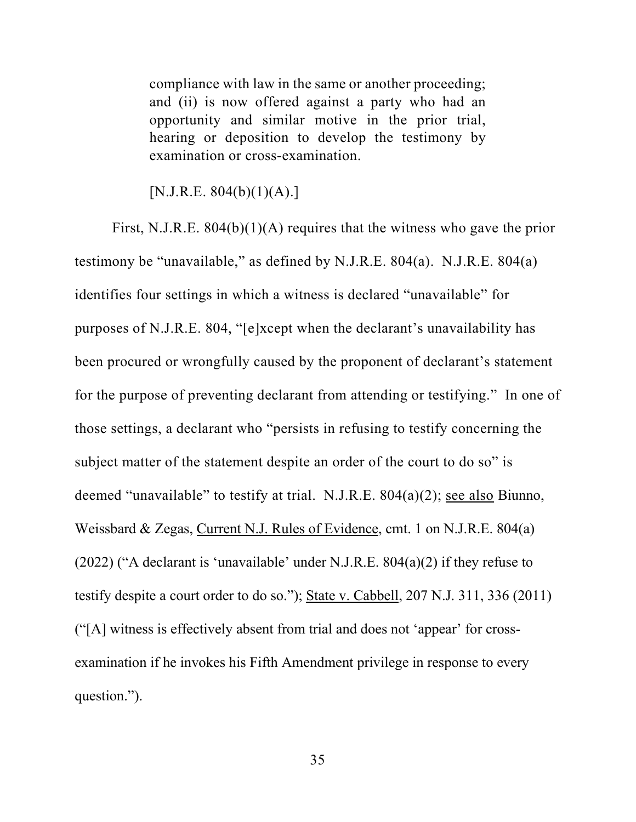compliance with law in the same or another proceeding; and (ii) is now offered against a party who had an opportunity and similar motive in the prior trial, hearing or deposition to develop the testimony by examination or cross-examination.

 $[N.J.R.E. 804(b)(1)(A).]$ 

First, N.J.R.E.  $804(b)(1)(A)$  requires that the witness who gave the prior testimony be "unavailable," as defined by N.J.R.E. 804(a). N.J.R.E. 804(a) identifies four settings in which a witness is declared "unavailable" for purposes of N.J.R.E. 804, "[e]xcept when the declarant's unavailability has been procured or wrongfully caused by the proponent of declarant's statement for the purpose of preventing declarant from attending or testifying." In one of those settings, a declarant who "persists in refusing to testify concerning the subject matter of the statement despite an order of the court to do so" is deemed "unavailable" to testify at trial. N.J.R.E. 804(a)(2); see also Biunno, Weissbard & Zegas, Current N.J. Rules of Evidence, cmt. 1 on N.J.R.E. 804(a) (2022) ("A declarant is 'unavailable' under N.J.R.E.  $804(a)(2)$  if they refuse to testify despite a court order to do so."); State v. Cabbell, 207 N.J. 311, 336 (2011) ("[A] witness is effectively absent from trial and does not 'appear' for crossexamination if he invokes his Fifth Amendment privilege in response to every question.").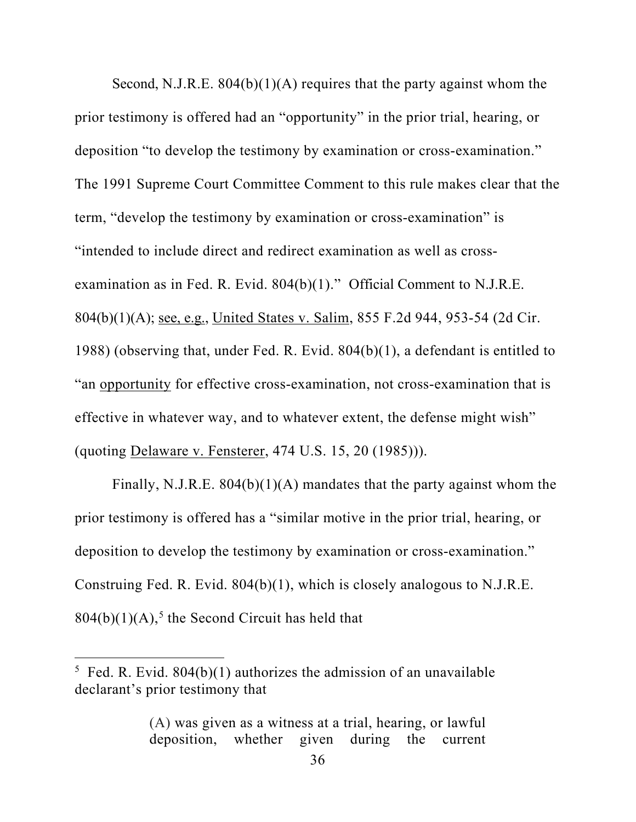Second, N.J.R.E.  $804(b)(1)(A)$  requires that the party against whom the prior testimony is offered had an "opportunity" in the prior trial, hearing, or deposition "to develop the testimony by examination or cross-examination." The 1991 Supreme Court Committee Comment to this rule makes clear that the term, "develop the testimony by examination or cross-examination" is "intended to include direct and redirect examination as well as crossexamination as in Fed. R. Evid. 804(b)(1)." Official Comment to N.J.R.E. 804(b)(1)(A); see, e.g., United States v. Salim, 855 F.2d 944, 953-54 (2d Cir. 1988) (observing that, under Fed. R. Evid. 804(b)(1), a defendant is entitled to "an opportunity for effective cross-examination, not cross-examination that is effective in whatever way, and to whatever extent, the defense might wish" (quoting Delaware v. Fensterer, 474 U.S. 15, 20 (1985))).

Finally, N.J.R.E.  $804(b)(1)(A)$  mandates that the party against whom the prior testimony is offered has a "similar motive in the prior trial, hearing, or deposition to develop the testimony by examination or cross-examination." Construing Fed. R. Evid. 804(b)(1), which is closely analogous to N.J.R.E.  $804(b)(1)(A)$ ,<sup>5</sup> the Second Circuit has held that

 $5$  Fed. R. Evid. 804(b)(1) authorizes the admission of an unavailable declarant's prior testimony that

<sup>(</sup>A) was given as a witness at a trial, hearing, or lawful deposition, whether given during the current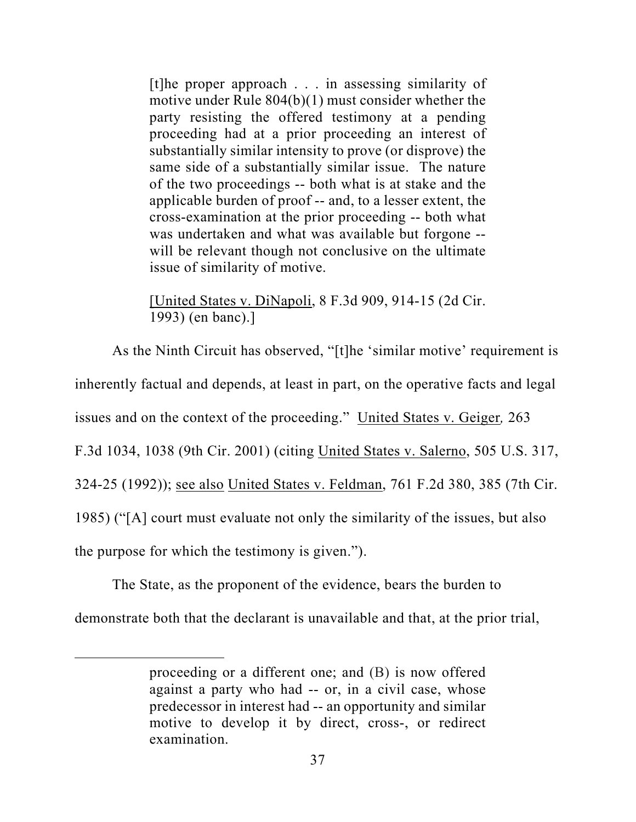[t]he proper approach . . . in assessing similarity of motive under Rule 804(b)(1) must consider whether the party resisting the offered testimony at a pending proceeding had at a prior proceeding an interest of substantially similar intensity to prove (or disprove) the same side of a substantially similar issue. The nature of the two proceedings -- both what is at stake and the applicable burden of proof -- and, to a lesser extent, the cross-examination at the prior proceeding -- both what was undertaken and what was available but forgone - will be relevant though not conclusive on the ultimate issue of similarity of motive.

[United States v. DiNapoli, 8 F.3d 909, 914-15 (2d Cir. 1993) (en banc).]

As the Ninth Circuit has observed, "[t]he 'similar motive' requirement is inherently factual and depends, at least in part, on the operative facts and legal issues and on the context of the proceeding." United States v. Geiger*,* 263 F.3d 1034, 1038 (9th Cir. 2001) (citing United States v. Salerno, 505 U.S. 317, 324-25 (1992)); see also United States v. Feldman, 761 F.2d 380, 385 (7th Cir. 1985) ("[A] court must evaluate not only the similarity of the issues, but also the purpose for which the testimony is given.").

The State, as the proponent of the evidence, bears the burden to demonstrate both that the declarant is unavailable and that, at the prior trial,

proceeding or a different one; and (B) is now offered against a party who had -- or, in a civil case, whose predecessor in interest had -- an opportunity and similar motive to develop it by direct, cross-, or redirect examination.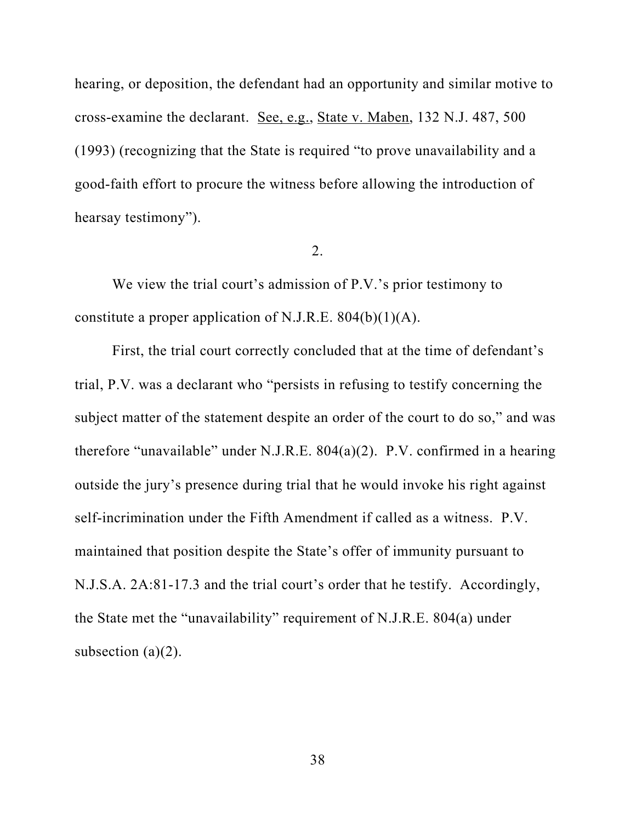hearing, or deposition, the defendant had an opportunity and similar motive to cross-examine the declarant. See, e.g., State v. Maben, 132 N.J. 487, 500 (1993) (recognizing that the State is required "to prove unavailability and a good-faith effort to procure the witness before allowing the introduction of hearsay testimony").

#### 2.

We view the trial court's admission of P.V.'s prior testimony to constitute a proper application of N.J.R.E.  $804(b)(1)(A)$ .

First, the trial court correctly concluded that at the time of defendant's trial, P.V. was a declarant who "persists in refusing to testify concerning the subject matter of the statement despite an order of the court to do so," and was therefore "unavailable" under N.J.R.E. 804(a)(2). P.V. confirmed in a hearing outside the jury's presence during trial that he would invoke his right against self-incrimination under the Fifth Amendment if called as a witness. P.V. maintained that position despite the State's offer of immunity pursuant to N.J.S.A. 2A:81-17.3 and the trial court's order that he testify. Accordingly, the State met the "unavailability" requirement of N.J.R.E. 804(a) under subsection  $(a)(2)$ .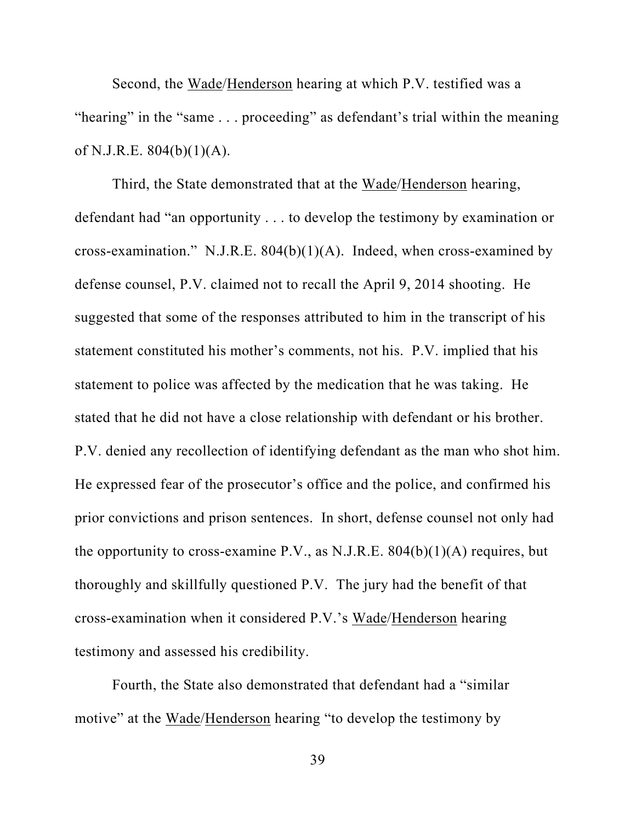Second, the Wade/Henderson hearing at which P.V. testified was a "hearing" in the "same . . . proceeding" as defendant's trial within the meaning of N.J.R.E.  $804(b)(1)(A)$ .

Third, the State demonstrated that at the Wade/Henderson hearing, defendant had "an opportunity . . . to develop the testimony by examination or cross-examination." N.J.R.E.  $804(b)(1)(A)$ . Indeed, when cross-examined by defense counsel, P.V. claimed not to recall the April 9, 2014 shooting. He suggested that some of the responses attributed to him in the transcript of his statement constituted his mother's comments, not his. P.V. implied that his statement to police was affected by the medication that he was taking. He stated that he did not have a close relationship with defendant or his brother. P.V. denied any recollection of identifying defendant as the man who shot him. He expressed fear of the prosecutor's office and the police, and confirmed his prior convictions and prison sentences. In short, defense counsel not only had the opportunity to cross-examine P.V., as N.J.R.E.  $804(b)(1)(A)$  requires, but thoroughly and skillfully questioned P.V. The jury had the benefit of that cross-examination when it considered P.V.'s Wade/Henderson hearing testimony and assessed his credibility.

Fourth, the State also demonstrated that defendant had a "similar motive" at the Wade/Henderson hearing "to develop the testimony by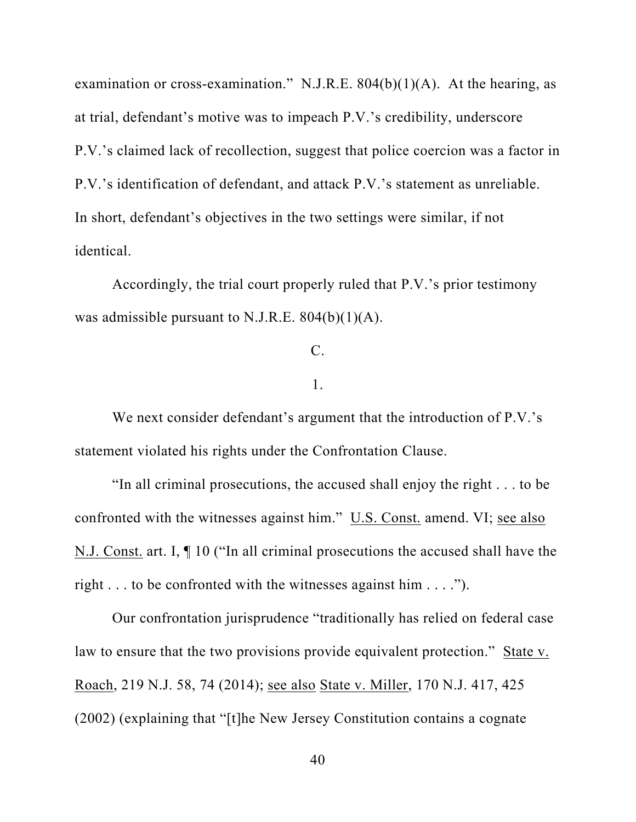examination or cross-examination." N.J.R.E.  $804(b)(1)(A)$ . At the hearing, as at trial, defendant's motive was to impeach P.V.'s credibility, underscore P.V.'s claimed lack of recollection, suggest that police coercion was a factor in P.V.'s identification of defendant, and attack P.V.'s statement as unreliable. In short, defendant's objectives in the two settings were similar, if not identical.

Accordingly, the trial court properly ruled that P.V.'s prior testimony was admissible pursuant to N.J.R.E.  $804(b)(1)(A)$ .

# C.

### 1.

We next consider defendant's argument that the introduction of P.V.'s statement violated his rights under the Confrontation Clause.

"In all criminal prosecutions, the accused shall enjoy the right . . . to be confronted with the witnesses against him." U.S. Const. amend. VI; see also N.J. Const. art. I, ¶ 10 ("In all criminal prosecutions the accused shall have the right . . . to be confronted with the witnesses against him  $\dots$ .").

Our confrontation jurisprudence "traditionally has relied on federal case law to ensure that the two provisions provide equivalent protection." State v. Roach, 219 N.J. 58, 74 (2014); see also State v. Miller, 170 N.J. 417, 425 (2002) (explaining that "[t]he New Jersey Constitution contains a cognate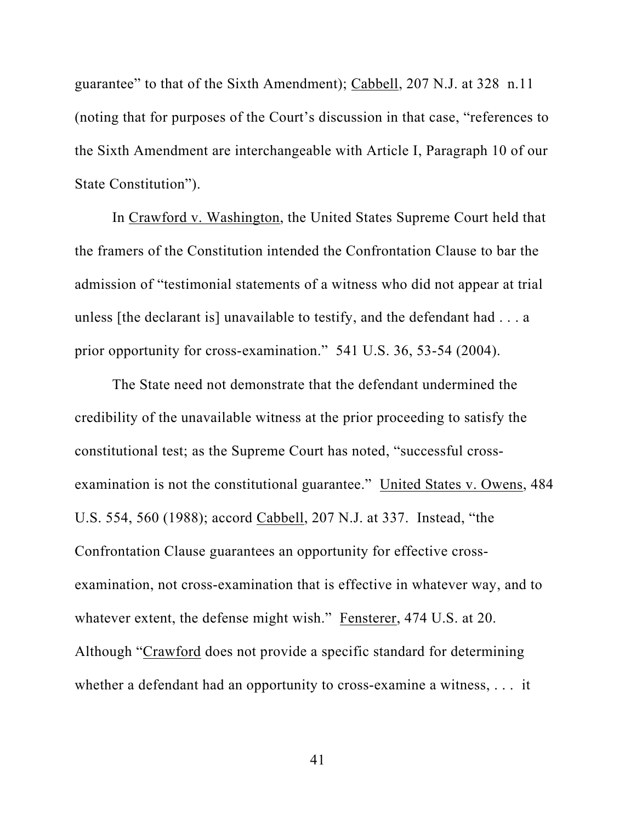guarantee" to that of the Sixth Amendment); Cabbell, 207 N.J. at 328 n.11 (noting that for purposes of the Court's discussion in that case, "references to the Sixth Amendment are interchangeable with Article I, Paragraph 10 of our State Constitution").

In Crawford v. Washington, the United States Supreme Court held that the framers of the Constitution intended the Confrontation Clause to bar the admission of "testimonial statements of a witness who did not appear at trial unless [the declarant is] unavailable to testify, and the defendant had . . . a prior opportunity for cross-examination." 541 U.S. 36, 53-54 (2004).

The State need not demonstrate that the defendant undermined the credibility of the unavailable witness at the prior proceeding to satisfy the constitutional test; as the Supreme Court has noted, "successful crossexamination is not the constitutional guarantee." United States v. Owens, 484 U.S. 554, 560 (1988); accord Cabbell, 207 N.J. at 337. Instead, "the Confrontation Clause guarantees an opportunity for effective crossexamination, not cross-examination that is effective in whatever way, and to whatever extent, the defense might wish." Fensterer, 474 U.S. at 20. Although "Crawford does not provide a specific standard for determining whether a defendant had an opportunity to cross-examine a witness, ... it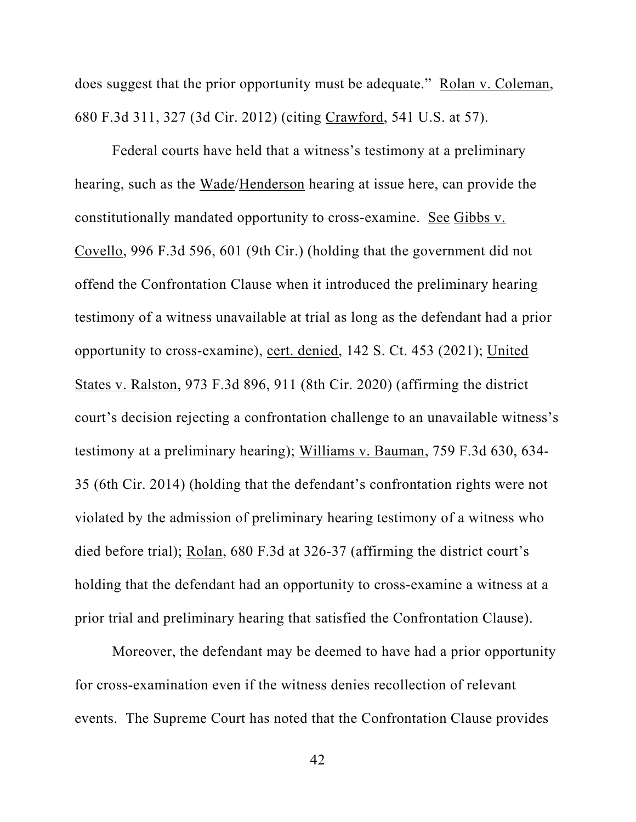does suggest that the prior opportunity must be adequate." Rolan v. Coleman, 680 F.3d 311, 327 (3d Cir. 2012) (citing Crawford, 541 U.S. at 57).

Federal courts have held that a witness's testimony at a preliminary hearing, such as the Wade/Henderson hearing at issue here, can provide the constitutionally mandated opportunity to cross-examine. See Gibbs v. Covello, 996 F.3d 596, 601 (9th Cir.) (holding that the government did not offend the Confrontation Clause when it introduced the preliminary hearing testimony of a witness unavailable at trial as long as the defendant had a prior opportunity to cross-examine), cert. denied, 142 S. Ct. 453 (2021); United States v. Ralston, 973 F.3d 896, 911 (8th Cir. 2020) (affirming the district court's decision rejecting a confrontation challenge to an unavailable witness's testimony at a preliminary hearing); Williams v. Bauman, 759 F.3d 630, 634- 35 (6th Cir. 2014) (holding that the defendant's confrontation rights were not violated by the admission of preliminary hearing testimony of a witness who died before trial); Rolan, 680 F.3d at 326-37 (affirming the district court's holding that the defendant had an opportunity to cross-examine a witness at a prior trial and preliminary hearing that satisfied the Confrontation Clause).

Moreover, the defendant may be deemed to have had a prior opportunity for cross-examination even if the witness denies recollection of relevant events. The Supreme Court has noted that the Confrontation Clause provides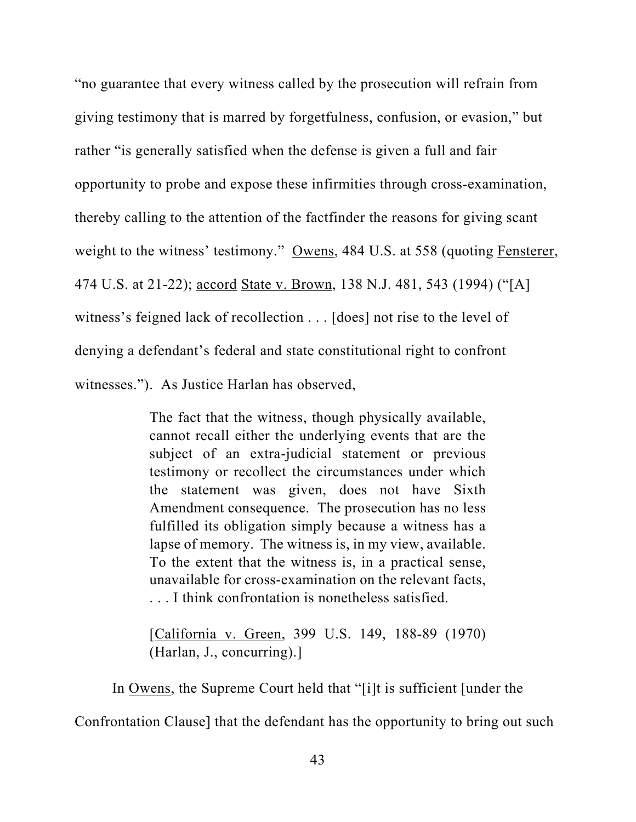"no guarantee that every witness called by the prosecution will refrain from giving testimony that is marred by forgetfulness, confusion, or evasion," but rather "is generally satisfied when the defense is given a full and fair opportunity to probe and expose these infirmities through cross-examination, thereby calling to the attention of the factfinder the reasons for giving scant weight to the witness' testimony." Owens, 484 U.S. at 558 (quoting Fensterer, 474 U.S. at 21-22); accord State v. Brown, 138 N.J. 481, 543 (1994) ("[A] witness's feigned lack of recollection . . . [does] not rise to the level of denying a defendant's federal and state constitutional right to confront witnesses."). As Justice Harlan has observed,

> The fact that the witness, though physically available, cannot recall either the underlying events that are the subject of an extra-judicial statement or previous testimony or recollect the circumstances under which the statement was given, does not have Sixth Amendment consequence. The prosecution has no less fulfilled its obligation simply because a witness has a lapse of memory. The witness is, in my view, available. To the extent that the witness is, in a practical sense, unavailable for cross-examination on the relevant facts, . . . I think confrontation is nonetheless satisfied.

> [California v. Green, 399 U.S. 149, 188-89 (1970) (Harlan, J., concurring).]

In Owens, the Supreme Court held that "[i]t is sufficient [under the Confrontation Clause] that the defendant has the opportunity to bring out such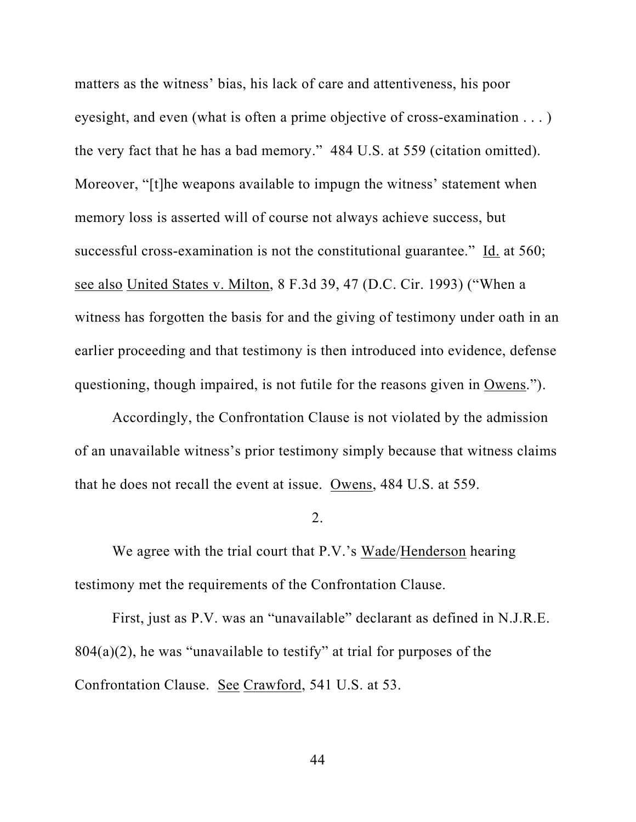matters as the witness' bias, his lack of care and attentiveness, his poor eyesight, and even (what is often a prime objective of cross-examination . . . ) the very fact that he has a bad memory." 484 U.S. at 559 (citation omitted). Moreover, "[t]he weapons available to impugn the witness' statement when memory loss is asserted will of course not always achieve success, but successful cross-examination is not the constitutional guarantee." Id. at 560; see also United States v. Milton, 8 F.3d 39, 47 (D.C. Cir. 1993) ("When a witness has forgotten the basis for and the giving of testimony under oath in an earlier proceeding and that testimony is then introduced into evidence, defense questioning, though impaired, is not futile for the reasons given in Owens.").

Accordingly, the Confrontation Clause is not violated by the admission of an unavailable witness's prior testimony simply because that witness claims that he does not recall the event at issue. Owens, 484 U.S. at 559.

#### 2.

We agree with the trial court that P.V.'s Wade/Henderson hearing testimony met the requirements of the Confrontation Clause.

First, just as P.V. was an "unavailable" declarant as defined in N.J.R.E.  $804(a)(2)$ , he was "unavailable to testify" at trial for purposes of the Confrontation Clause. See Crawford, 541 U.S. at 53.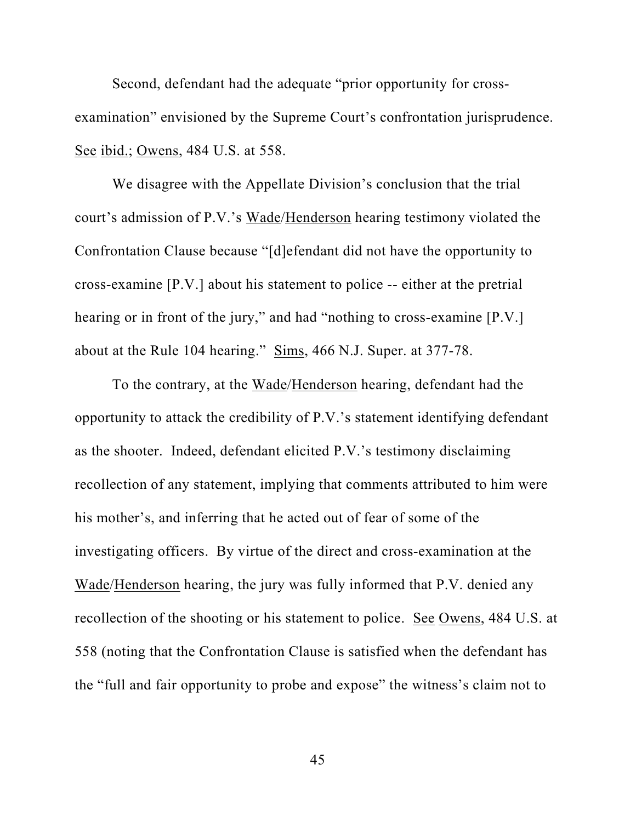Second, defendant had the adequate "prior opportunity for crossexamination" envisioned by the Supreme Court's confrontation jurisprudence. See ibid.; Owens, 484 U.S. at 558.

We disagree with the Appellate Division's conclusion that the trial court's admission of P.V.'s Wade/Henderson hearing testimony violated the Confrontation Clause because "[d]efendant did not have the opportunity to cross-examine [P.V.] about his statement to police -- either at the pretrial hearing or in front of the jury," and had "nothing to cross-examine [P.V.] about at the Rule 104 hearing." Sims, 466 N.J. Super. at 377-78.

To the contrary, at the Wade/Henderson hearing, defendant had the opportunity to attack the credibility of P.V.'s statement identifying defendant as the shooter. Indeed, defendant elicited P.V.'s testimony disclaiming recollection of any statement, implying that comments attributed to him were his mother's, and inferring that he acted out of fear of some of the investigating officers. By virtue of the direct and cross-examination at the Wade/Henderson hearing, the jury was fully informed that P.V. denied any recollection of the shooting or his statement to police. See Owens, 484 U.S. at 558 (noting that the Confrontation Clause is satisfied when the defendant has the "full and fair opportunity to probe and expose" the witness's claim not to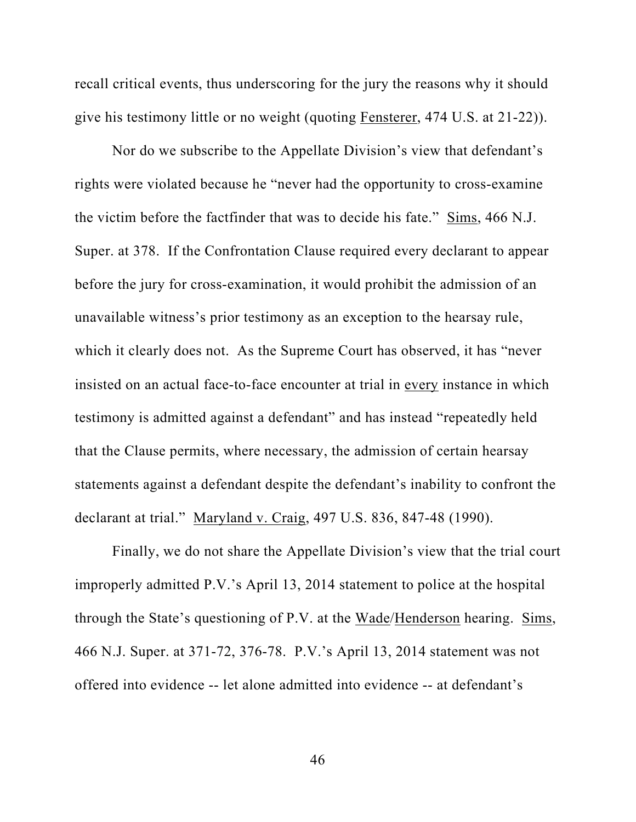recall critical events, thus underscoring for the jury the reasons why it should give his testimony little or no weight (quoting Fensterer, 474 U.S. at 21-22)).

Nor do we subscribe to the Appellate Division's view that defendant's rights were violated because he "never had the opportunity to cross-examine the victim before the factfinder that was to decide his fate." Sims, 466 N.J. Super. at 378. If the Confrontation Clause required every declarant to appear before the jury for cross-examination, it would prohibit the admission of an unavailable witness's prior testimony as an exception to the hearsay rule, which it clearly does not. As the Supreme Court has observed, it has "never insisted on an actual face-to-face encounter at trial in every instance in which testimony is admitted against a defendant" and has instead "repeatedly held that the Clause permits, where necessary, the admission of certain hearsay statements against a defendant despite the defendant's inability to confront the declarant at trial." Maryland v. Craig, 497 U.S. 836, 847-48 (1990).

Finally, we do not share the Appellate Division's view that the trial court improperly admitted P.V.'s April 13, 2014 statement to police at the hospital through the State's questioning of P.V. at the Wade/Henderson hearing. Sims, 466 N.J. Super. at 371-72, 376-78. P.V.'s April 13, 2014 statement was not offered into evidence -- let alone admitted into evidence -- at defendant's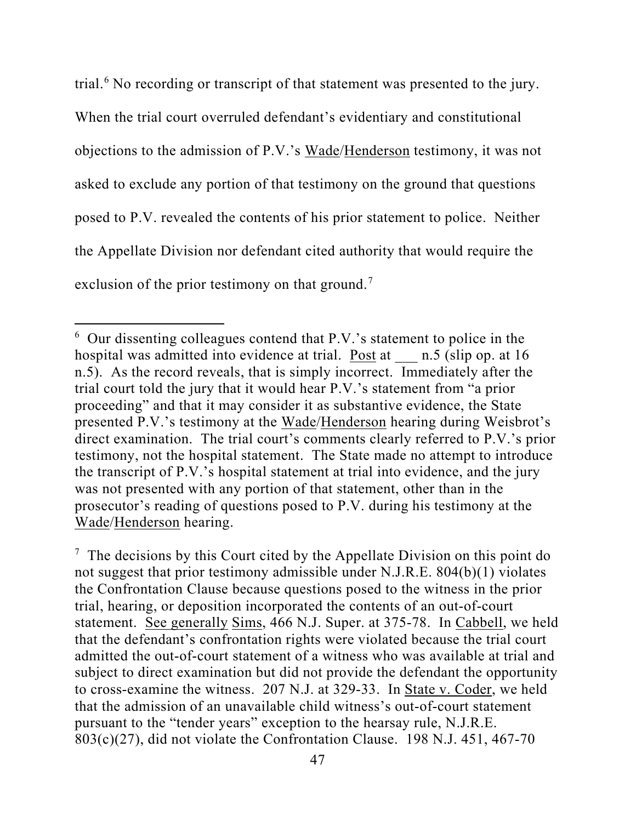trial.<sup>6</sup> No recording or transcript of that statement was presented to the jury. When the trial court overruled defendant's evidentiary and constitutional objections to the admission of P.V.'s Wade/Henderson testimony, it was not asked to exclude any portion of that testimony on the ground that questions posed to P.V. revealed the contents of his prior statement to police. Neither the Appellate Division nor defendant cited authority that would require the exclusion of the prior testimony on that ground.<sup>7</sup>

 $7$  The decisions by this Court cited by the Appellate Division on this point do not suggest that prior testimony admissible under N.J.R.E. 804(b)(1) violates the Confrontation Clause because questions posed to the witness in the prior trial, hearing, or deposition incorporated the contents of an out-of-court statement. See generally Sims, 466 N.J. Super. at 375-78. In Cabbell, we held that the defendant's confrontation rights were violated because the trial court admitted the out-of-court statement of a witness who was available at trial and subject to direct examination but did not provide the defendant the opportunity to cross-examine the witness. 207 N.J. at 329-33. In State v. Coder, we held that the admission of an unavailable child witness's out-of-court statement pursuant to the "tender years" exception to the hearsay rule, N.J.R.E. 803(c)(27), did not violate the Confrontation Clause. 198 N.J. 451, 467-70

<sup>6</sup> Our dissenting colleagues contend that P.V.'s statement to police in the hospital was admitted into evidence at trial. Post at \_\_\_ n.5 (slip op. at 16 n.5). As the record reveals, that is simply incorrect. Immediately after the trial court told the jury that it would hear P.V.'s statement from "a prior proceeding" and that it may consider it as substantive evidence, the State presented P.V.'s testimony at the Wade/Henderson hearing during Weisbrot's direct examination. The trial court's comments clearly referred to P.V.'s prior testimony, not the hospital statement. The State made no attempt to introduce the transcript of P.V.'s hospital statement at trial into evidence, and the jury was not presented with any portion of that statement, other than in the prosecutor's reading of questions posed to P.V. during his testimony at the Wade/Henderson hearing.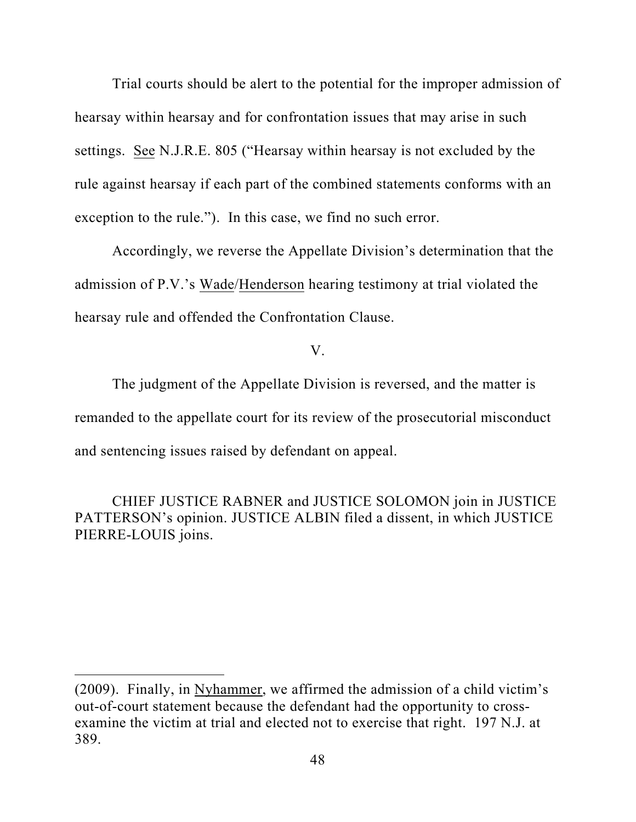Trial courts should be alert to the potential for the improper admission of hearsay within hearsay and for confrontation issues that may arise in such settings. See N.J.R.E. 805 ("Hearsay within hearsay is not excluded by the rule against hearsay if each part of the combined statements conforms with an exception to the rule."). In this case, we find no such error.

Accordingly, we reverse the Appellate Division's determination that the admission of P.V.'s Wade/Henderson hearing testimony at trial violated the hearsay rule and offended the Confrontation Clause.

V.

The judgment of the Appellate Division is reversed, and the matter is remanded to the appellate court for its review of the prosecutorial misconduct and sentencing issues raised by defendant on appeal.

CHIEF JUSTICE RABNER and JUSTICE SOLOMON join in JUSTICE PATTERSON's opinion. JUSTICE ALBIN filed a dissent, in which JUSTICE PIERRE-LOUIS joins.

<sup>(2009).</sup> Finally, in Nyhammer, we affirmed the admission of a child victim's out-of-court statement because the defendant had the opportunity to crossexamine the victim at trial and elected not to exercise that right. 197 N.J. at 389.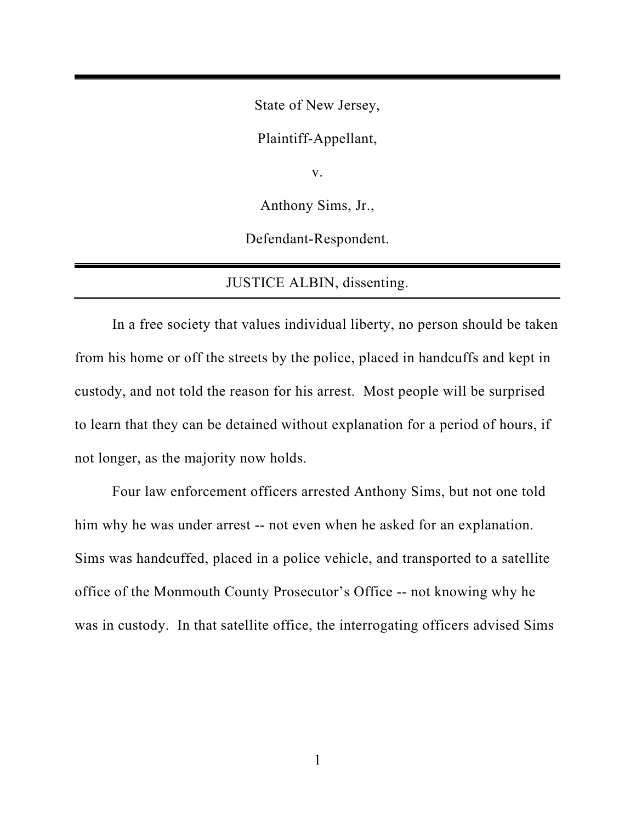State of New Jersey,

Plaintiff-Appellant,

v.

Anthony Sims, Jr.,

Defendant-Respondent.

# JUSTICE ALBIN, dissenting.

 In a free society that values individual liberty, no person should be taken from his home or off the streets by the police, placed in handcuffs and kept in custody, and not told the reason for his arrest. Most people will be surprised to learn that they can be detained without explanation for a period of hours, if not longer, as the majority now holds.

Four law enforcement officers arrested Anthony Sims, but not one told him why he was under arrest -- not even when he asked for an explanation. Sims was handcuffed, placed in a police vehicle, and transported to a satellite office of the Monmouth County Prosecutor's Office -- not knowing why he was in custody. In that satellite office, the interrogating officers advised Sims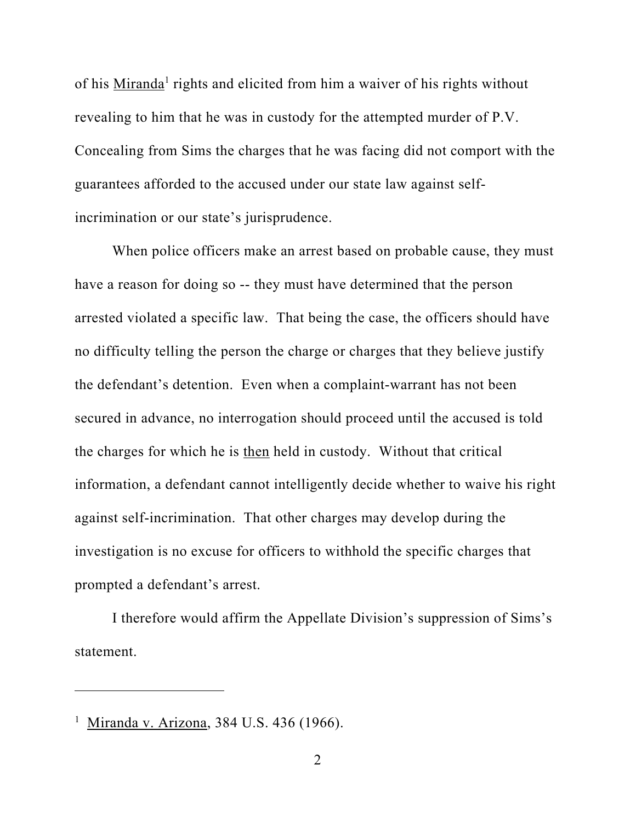of his Miranda<sup>1</sup> rights and elicited from him a waiver of his rights without revealing to him that he was in custody for the attempted murder of P.V. Concealing from Sims the charges that he was facing did not comport with the guarantees afforded to the accused under our state law against selfincrimination or our state's jurisprudence.

When police officers make an arrest based on probable cause, they must have a reason for doing so -- they must have determined that the person arrested violated a specific law. That being the case, the officers should have no difficulty telling the person the charge or charges that they believe justify the defendant's detention. Even when a complaint-warrant has not been secured in advance, no interrogation should proceed until the accused is told the charges for which he is then held in custody. Without that critical information, a defendant cannot intelligently decide whether to waive his right against self-incrimination. That other charges may develop during the investigation is no excuse for officers to withhold the specific charges that prompted a defendant's arrest.

I therefore would affirm the Appellate Division's suppression of Sims's statement.

<sup>&</sup>lt;sup>1</sup> Miranda v. Arizona, 384 U.S. 436 (1966).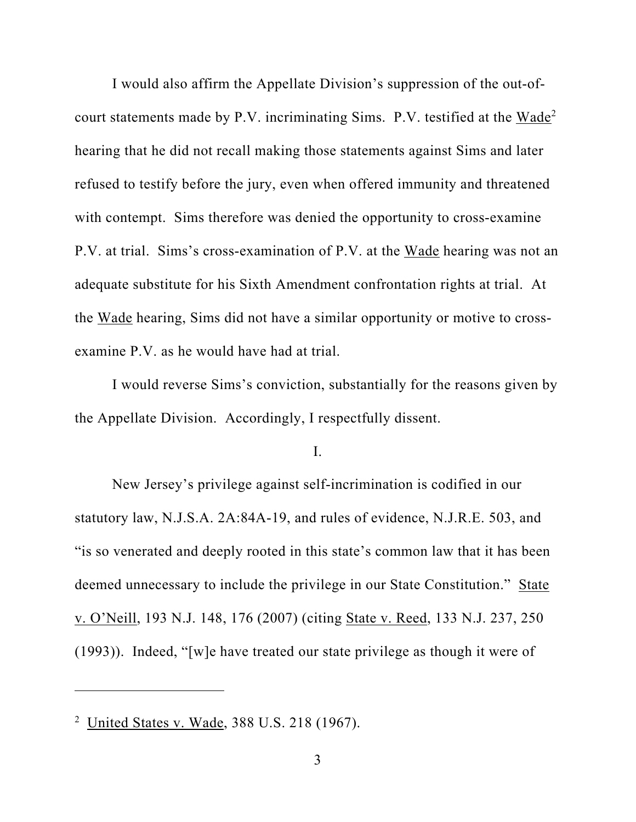I would also affirm the Appellate Division's suppression of the out-ofcourt statements made by P.V. incriminating Sims. P.V. testified at the Wade2 hearing that he did not recall making those statements against Sims and later refused to testify before the jury, even when offered immunity and threatened with contempt. Sims therefore was denied the opportunity to cross-examine P.V. at trial. Sims's cross-examination of P.V. at the Wade hearing was not an adequate substitute for his Sixth Amendment confrontation rights at trial. At the Wade hearing, Sims did not have a similar opportunity or motive to crossexamine P.V. as he would have had at trial.

 I would reverse Sims's conviction, substantially for the reasons given by the Appellate Division. Accordingly, I respectfully dissent.

I.

New Jersey's privilege against self-incrimination is codified in our statutory law, N.J.S.A. 2A:84A-19, and rules of evidence, N.J.R.E. 503, and "is so venerated and deeply rooted in this state's common law that it has been deemed unnecessary to include the privilege in our State Constitution." State v. O'Neill, 193 N.J. 148, 176 (2007) (citing State v. Reed, 133 N.J. 237, 250 (1993)). Indeed, "[w]e have treated our state privilege as though it were of

<sup>&</sup>lt;sup>2</sup> United States v. Wade, 388 U.S. 218 (1967).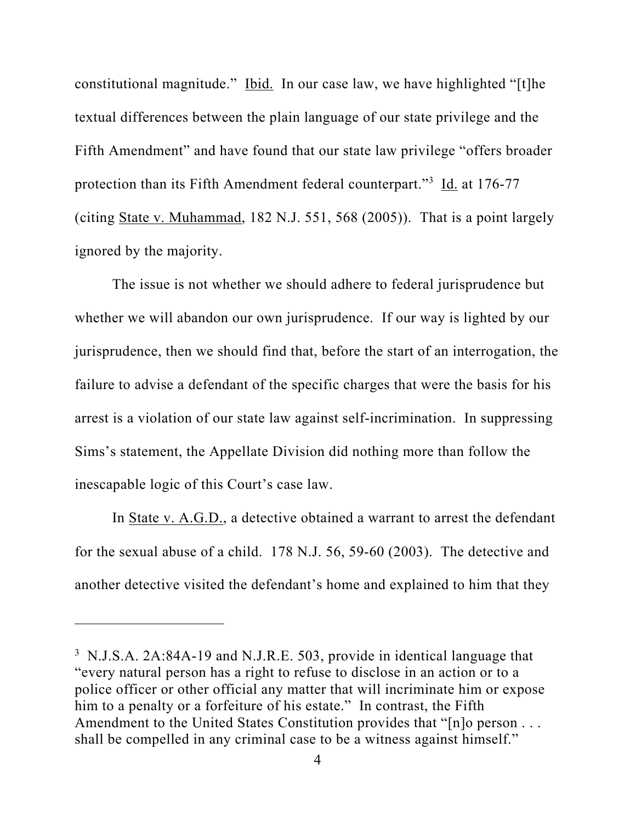constitutional magnitude." Ibid. In our case law, we have highlighted "[t]he textual differences between the plain language of our state privilege and the Fifth Amendment" and have found that our state law privilege "offers broader protection than its Fifth Amendment federal counterpart."<sup>3</sup> Id. at 176-77 (citing State v. Muhammad, 182 N.J. 551, 568 (2005)). That is a point largely ignored by the majority.

The issue is not whether we should adhere to federal jurisprudence but whether we will abandon our own jurisprudence. If our way is lighted by our jurisprudence, then we should find that, before the start of an interrogation, the failure to advise a defendant of the specific charges that were the basis for his arrest is a violation of our state law against self-incrimination. In suppressing Sims's statement, the Appellate Division did nothing more than follow the inescapable logic of this Court's case law.

In <u>State v. A.G.D.</u>, a detective obtained a warrant to arrest the defendant for the sexual abuse of a child. 178 N.J. 56, 59-60 (2003). The detective and another detective visited the defendant's home and explained to him that they

<sup>&</sup>lt;sup>3</sup> N.J.S.A. 2A:84A-19 and N.J.R.E. 503, provide in identical language that "every natural person has a right to refuse to disclose in an action or to a police officer or other official any matter that will incriminate him or expose him to a penalty or a forfeiture of his estate." In contrast, the Fifth Amendment to the United States Constitution provides that "[n]o person . . . shall be compelled in any criminal case to be a witness against himself."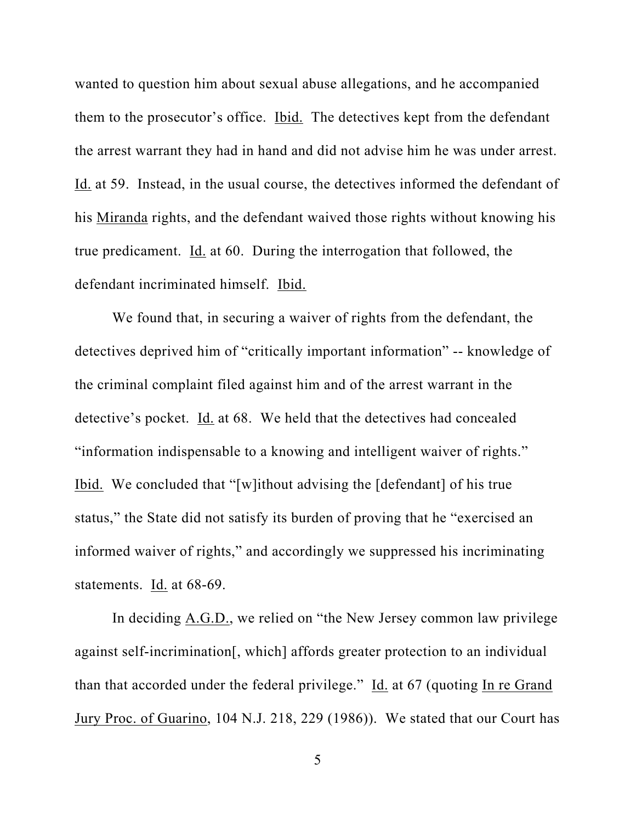wanted to question him about sexual abuse allegations, and he accompanied them to the prosecutor's office. Ibid. The detectives kept from the defendant the arrest warrant they had in hand and did not advise him he was under arrest. Id. at 59. Instead, in the usual course, the detectives informed the defendant of his Miranda rights, and the defendant waived those rights without knowing his true predicament. Id. at 60. During the interrogation that followed, the defendant incriminated himself. Ibid.

We found that, in securing a waiver of rights from the defendant, the detectives deprived him of "critically important information" -- knowledge of the criminal complaint filed against him and of the arrest warrant in the detective's pocket. Id. at 68. We held that the detectives had concealed "information indispensable to a knowing and intelligent waiver of rights." Ibid. We concluded that "[w]ithout advising the [defendant] of his true status," the State did not satisfy its burden of proving that he "exercised an informed waiver of rights," and accordingly we suppressed his incriminating statements. Id. at 68-69.

In deciding A.G.D., we relied on "the New Jersey common law privilege against self-incrimination[, which] affords greater protection to an individual than that accorded under the federal privilege." Id. at 67 (quoting In re Grand Jury Proc. of Guarino, 104 N.J. 218, 229 (1986)). We stated that our Court has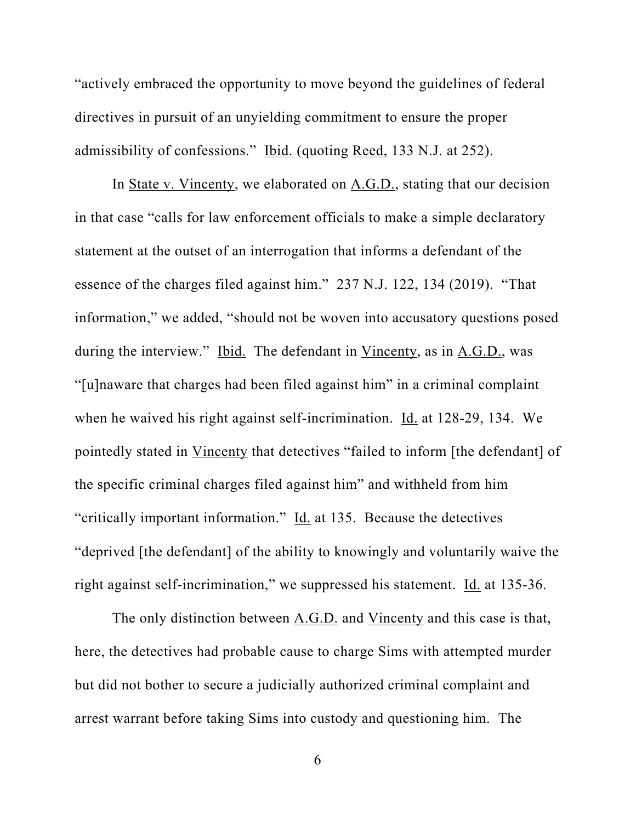"actively embraced the opportunity to move beyond the guidelines of federal directives in pursuit of an unyielding commitment to ensure the proper admissibility of confessions." Ibid. (quoting Reed, 133 N.J. at 252).

In State v. Vincenty, we elaborated on A.G.D., stating that our decision in that case "calls for law enforcement officials to make a simple declaratory statement at the outset of an interrogation that informs a defendant of the essence of the charges filed against him." 237 N.J. 122, 134 (2019). "That information," we added, "should not be woven into accusatory questions posed during the interview." Ibid. The defendant in Vincenty, as in A.G.D., was "[u]naware that charges had been filed against him" in a criminal complaint when he waived his right against self-incrimination. Id. at 128-29, 134. We pointedly stated in Vincenty that detectives "failed to inform [the defendant] of the specific criminal charges filed against him" and withheld from him "critically important information." Id. at 135. Because the detectives "deprived [the defendant] of the ability to knowingly and voluntarily waive the right against self-incrimination," we suppressed his statement. Id. at 135-36.

The only distinction between A.G.D. and Vincenty and this case is that, here, the detectives had probable cause to charge Sims with attempted murder but did not bother to secure a judicially authorized criminal complaint and arrest warrant before taking Sims into custody and questioning him. The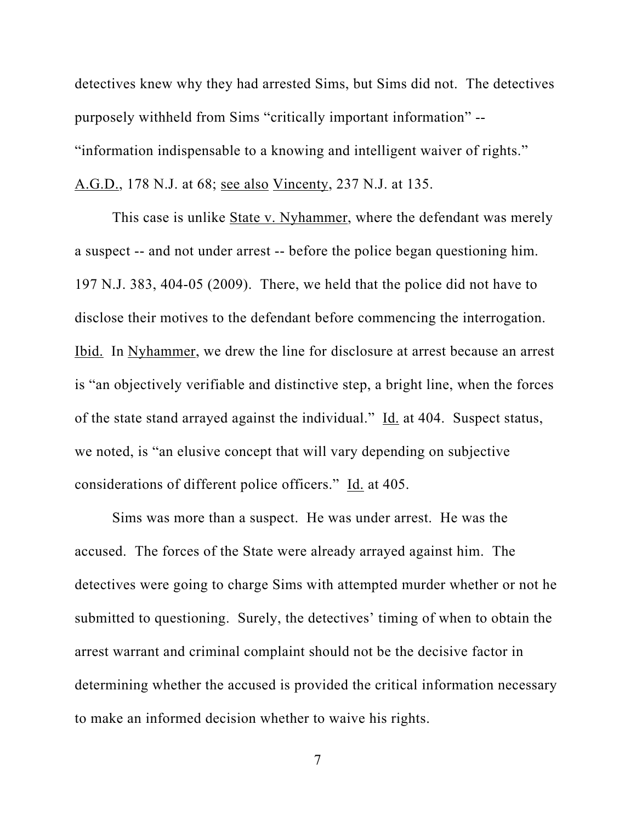detectives knew why they had arrested Sims, but Sims did not. The detectives purposely withheld from Sims "critically important information" -- "information indispensable to a knowing and intelligent waiver of rights." A.G.D., 178 N.J. at 68; see also Vincenty, 237 N.J. at 135.

This case is unlike State v. Nyhammer, where the defendant was merely a suspect -- and not under arrest -- before the police began questioning him. 197 N.J. 383, 404-05 (2009). There, we held that the police did not have to disclose their motives to the defendant before commencing the interrogation. Ibid. In Nyhammer, we drew the line for disclosure at arrest because an arrest is "an objectively verifiable and distinctive step, a bright line, when the forces of the state stand arrayed against the individual." Id. at 404. Suspect status, we noted, is "an elusive concept that will vary depending on subjective considerations of different police officers." Id. at 405.

Sims was more than a suspect. He was under arrest. He was the accused. The forces of the State were already arrayed against him. The detectives were going to charge Sims with attempted murder whether or not he submitted to questioning. Surely, the detectives' timing of when to obtain the arrest warrant and criminal complaint should not be the decisive factor in determining whether the accused is provided the critical information necessary to make an informed decision whether to waive his rights.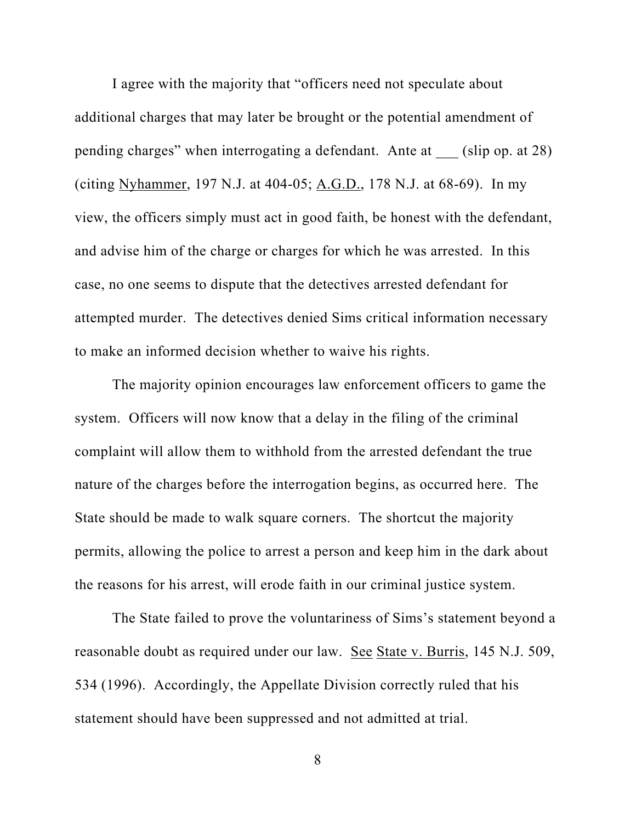I agree with the majority that "officers need not speculate about additional charges that may later be brought or the potential amendment of pending charges" when interrogating a defendant. Ante at \_\_\_ (slip op. at 28) (citing Nyhammer, 197 N.J. at 404-05; A.G.D., 178 N.J. at 68-69). In my view, the officers simply must act in good faith, be honest with the defendant, and advise him of the charge or charges for which he was arrested. In this case, no one seems to dispute that the detectives arrested defendant for attempted murder. The detectives denied Sims critical information necessary to make an informed decision whether to waive his rights.

The majority opinion encourages law enforcement officers to game the system. Officers will now know that a delay in the filing of the criminal complaint will allow them to withhold from the arrested defendant the true nature of the charges before the interrogation begins, as occurred here. The State should be made to walk square corners. The shortcut the majority permits, allowing the police to arrest a person and keep him in the dark about the reasons for his arrest, will erode faith in our criminal justice system.

The State failed to prove the voluntariness of Sims's statement beyond a reasonable doubt as required under our law. See State v. Burris, 145 N.J. 509, 534 (1996). Accordingly, the Appellate Division correctly ruled that his statement should have been suppressed and not admitted at trial.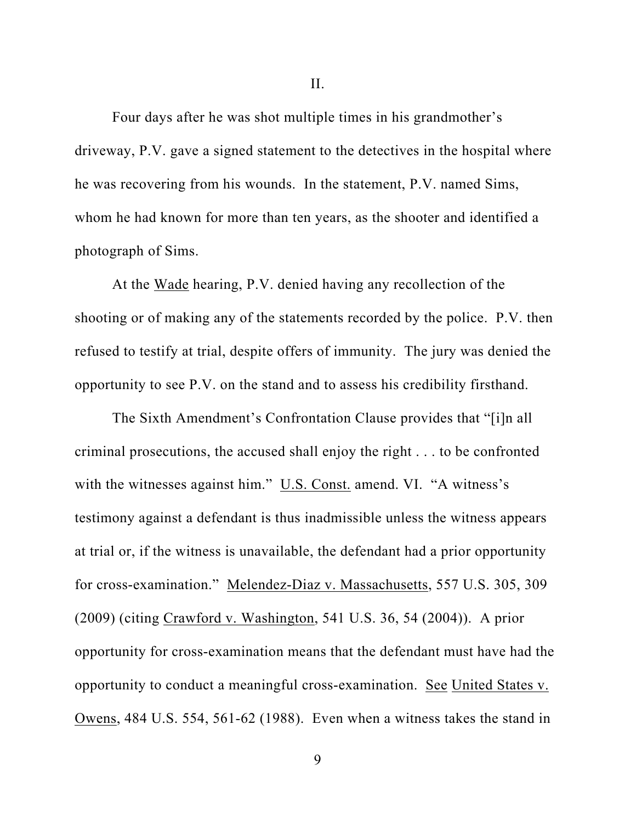Four days after he was shot multiple times in his grandmother's driveway, P.V. gave a signed statement to the detectives in the hospital where he was recovering from his wounds. In the statement, P.V. named Sims, whom he had known for more than ten years, as the shooter and identified a photograph of Sims.

At the Wade hearing, P.V. denied having any recollection of the shooting or of making any of the statements recorded by the police. P.V. then refused to testify at trial, despite offers of immunity. The jury was denied the opportunity to see P.V. on the stand and to assess his credibility firsthand.

The Sixth Amendment's Confrontation Clause provides that "[i]n all criminal prosecutions, the accused shall enjoy the right . . . to be confronted with the witnesses against him." U.S. Const. amend. VI. "A witness's testimony against a defendant is thus inadmissible unless the witness appears at trial or, if the witness is unavailable, the defendant had a prior opportunity for cross-examination." Melendez-Diaz v. Massachusetts, 557 U.S. 305, 309 (2009) (citing Crawford v. Washington, 541 U.S. 36, 54 (2004)). A prior opportunity for cross-examination means that the defendant must have had the opportunity to conduct a meaningful cross-examination. See United States v. Owens, 484 U.S. 554, 561-62 (1988). Even when a witness takes the stand in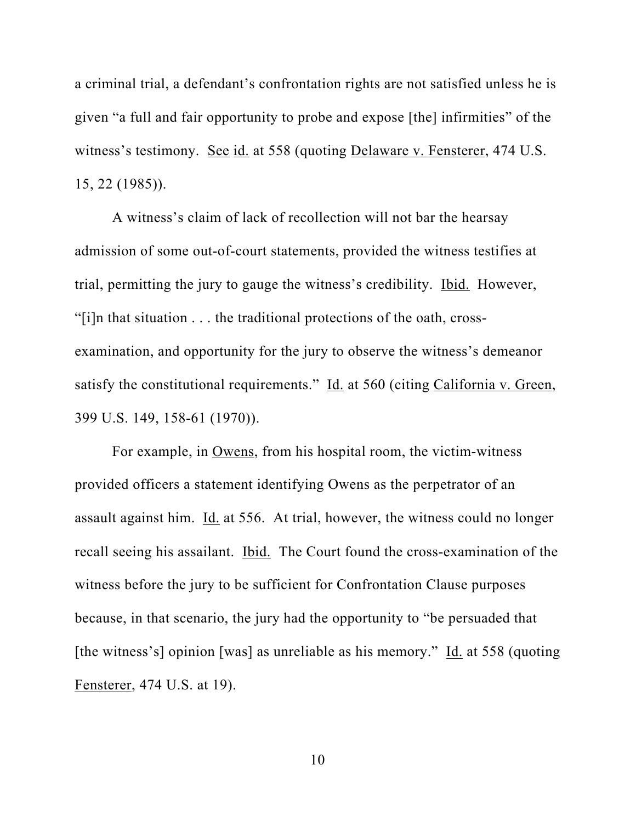a criminal trial, a defendant's confrontation rights are not satisfied unless he is given "a full and fair opportunity to probe and expose [the] infirmities" of the witness's testimony. See id. at 558 (quoting Delaware v. Fensterer, 474 U.S. 15, 22 (1985)).

A witness's claim of lack of recollection will not bar the hearsay admission of some out-of-court statements, provided the witness testifies at trial, permitting the jury to gauge the witness's credibility. Ibid. However, "[i]n that situation . . . the traditional protections of the oath, crossexamination, and opportunity for the jury to observe the witness's demeanor satisfy the constitutional requirements." Id. at 560 (citing California v. Green, 399 U.S. 149, 158-61 (1970)).

For example, in Owens, from his hospital room, the victim-witness provided officers a statement identifying Owens as the perpetrator of an assault against him. Id. at 556. At trial, however, the witness could no longer recall seeing his assailant. Ibid. The Court found the cross-examination of the witness before the jury to be sufficient for Confrontation Clause purposes because, in that scenario, the jury had the opportunity to "be persuaded that [the witness's] opinion [was] as unreliable as his memory." Id. at 558 (quoting Fensterer, 474 U.S. at 19).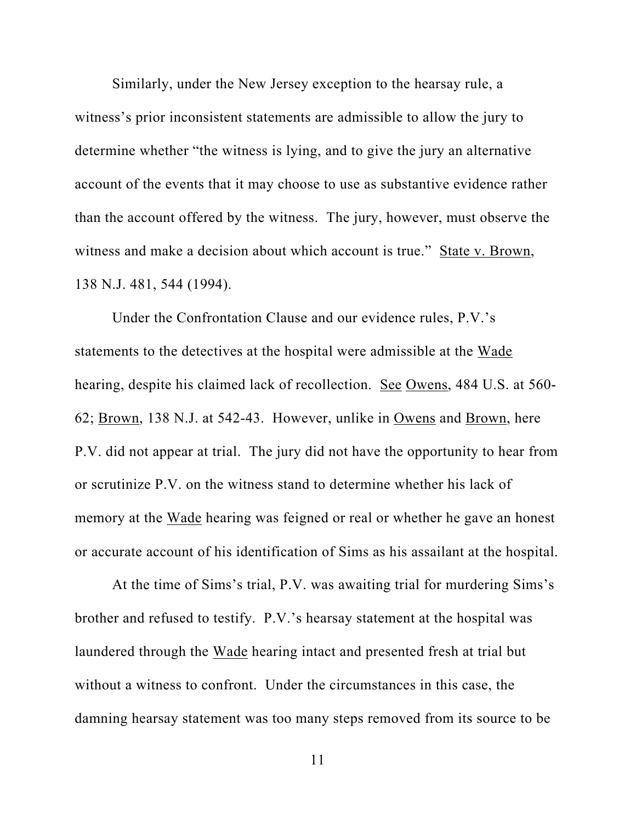Similarly, under the New Jersey exception to the hearsay rule, a witness's prior inconsistent statements are admissible to allow the jury to determine whether "the witness is lying, and to give the jury an alternative account of the events that it may choose to use as substantive evidence rather than the account offered by the witness. The jury, however, must observe the witness and make a decision about which account is true." State v. Brown, 138 N.J. 481, 544 (1994).

Under the Confrontation Clause and our evidence rules, P.V.'s statements to the detectives at the hospital were admissible at the Wade hearing, despite his claimed lack of recollection. See Owens, 484 U.S. at 560- 62; Brown, 138 N.J. at 542-43. However, unlike in Owens and Brown, here P.V. did not appear at trial. The jury did not have the opportunity to hear from or scrutinize P.V. on the witness stand to determine whether his lack of memory at the Wade hearing was feigned or real or whether he gave an honest or accurate account of his identification of Sims as his assailant at the hospital.

At the time of Sims's trial, P.V. was awaiting trial for murdering Sims's brother and refused to testify. P.V.'s hearsay statement at the hospital was laundered through the Wade hearing intact and presented fresh at trial but without a witness to confront. Under the circumstances in this case, the damning hearsay statement was too many steps removed from its source to be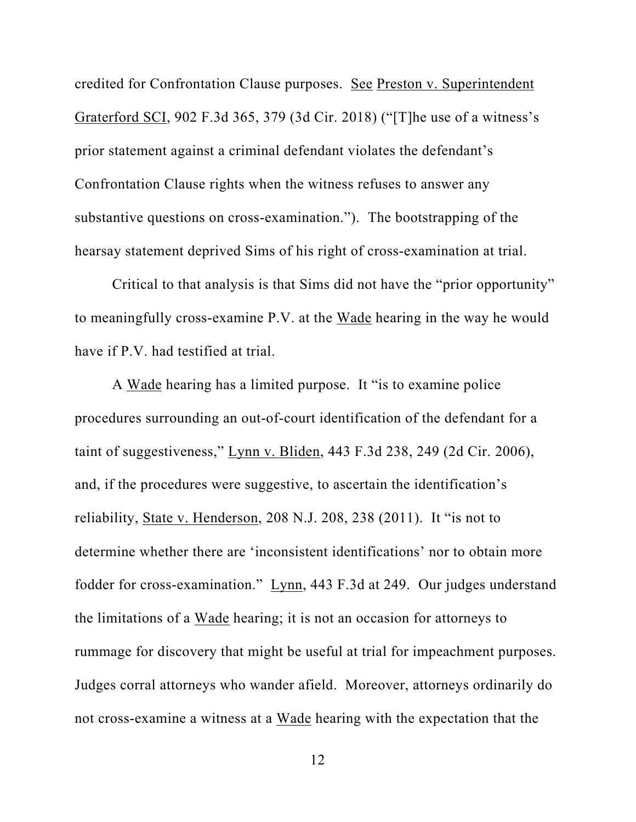credited for Confrontation Clause purposes. See Preston v. Superintendent Graterford SCI, 902 F.3d 365, 379 (3d Cir. 2018) ("[T]he use of a witness's prior statement against a criminal defendant violates the defendant's Confrontation Clause rights when the witness refuses to answer any substantive questions on cross-examination."). The bootstrapping of the hearsay statement deprived Sims of his right of cross-examination at trial.

Critical to that analysis is that Sims did not have the "prior opportunity" to meaningfully cross-examine P.V. at the Wade hearing in the way he would have if P.V. had testified at trial.

A Wade hearing has a limited purpose. It "is to examine police procedures surrounding an out-of-court identification of the defendant for a taint of suggestiveness," Lynn v. Bliden, 443 F.3d 238, 249 (2d Cir. 2006), and, if the procedures were suggestive, to ascertain the identification's reliability, State v. Henderson, 208 N.J. 208, 238 (2011). It "is not to determine whether there are 'inconsistent identifications' nor to obtain more fodder for cross-examination." Lynn, 443 F.3d at 249. Our judges understand the limitations of a Wade hearing; it is not an occasion for attorneys to rummage for discovery that might be useful at trial for impeachment purposes. Judges corral attorneys who wander afield. Moreover, attorneys ordinarily do not cross-examine a witness at a Wade hearing with the expectation that the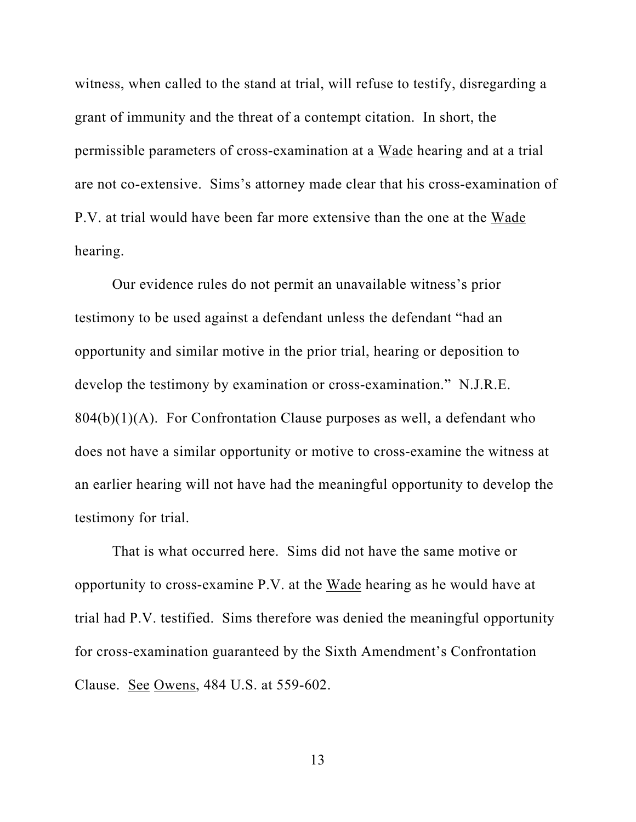witness, when called to the stand at trial, will refuse to testify, disregarding a grant of immunity and the threat of a contempt citation. In short, the permissible parameters of cross-examination at a Wade hearing and at a trial are not co-extensive. Sims's attorney made clear that his cross-examination of P.V. at trial would have been far more extensive than the one at the Wade hearing.

Our evidence rules do not permit an unavailable witness's prior testimony to be used against a defendant unless the defendant "had an opportunity and similar motive in the prior trial, hearing or deposition to develop the testimony by examination or cross-examination." N.J.R.E.  $804(b)(1)(A)$ . For Confrontation Clause purposes as well, a defendant who does not have a similar opportunity or motive to cross-examine the witness at an earlier hearing will not have had the meaningful opportunity to develop the testimony for trial.

That is what occurred here. Sims did not have the same motive or opportunity to cross-examine P.V. at the Wade hearing as he would have at trial had P.V. testified. Sims therefore was denied the meaningful opportunity for cross-examination guaranteed by the Sixth Amendment's Confrontation Clause. See Owens, 484 U.S. at 559-602.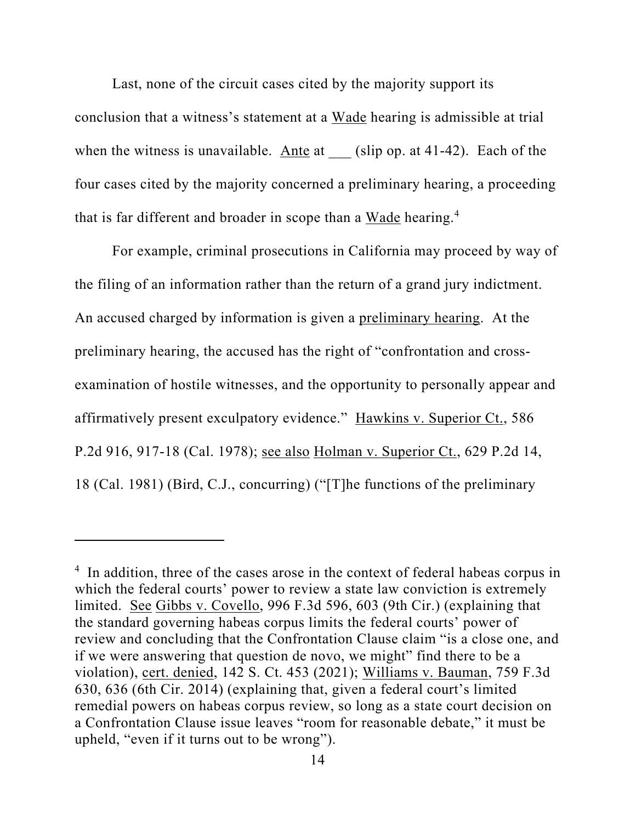Last, none of the circuit cases cited by the majority support its conclusion that a witness's statement at a Wade hearing is admissible at trial when the witness is unavailable. Ante at  $\qquad$  (slip op. at 41-42). Each of the four cases cited by the majority concerned a preliminary hearing, a proceeding that is far different and broader in scope than a Wade hearing.<sup>4</sup>

For example, criminal prosecutions in California may proceed by way of the filing of an information rather than the return of a grand jury indictment. An accused charged by information is given a preliminary hearing. At the preliminary hearing, the accused has the right of "confrontation and crossexamination of hostile witnesses, and the opportunity to personally appear and affirmatively present exculpatory evidence." Hawkins v. Superior Ct., 586 P.2d 916, 917-18 (Cal. 1978); see also Holman v. Superior Ct., 629 P.2d 14, 18 (Cal. 1981) (Bird, C.J., concurring) ("[T]he functions of the preliminary

<sup>&</sup>lt;sup>4</sup> In addition, three of the cases arose in the context of federal habeas corpus in which the federal courts' power to review a state law conviction is extremely limited. See Gibbs v. Covello, 996 F.3d 596, 603 (9th Cir.) (explaining that the standard governing habeas corpus limits the federal courts' power of review and concluding that the Confrontation Clause claim "is a close one, and if we were answering that question de novo, we might" find there to be a violation), cert. denied, 142 S. Ct. 453 (2021); Williams v. Bauman, 759 F.3d 630, 636 (6th Cir. 2014) (explaining that, given a federal court's limited remedial powers on habeas corpus review, so long as a state court decision on a Confrontation Clause issue leaves "room for reasonable debate," it must be upheld, "even if it turns out to be wrong").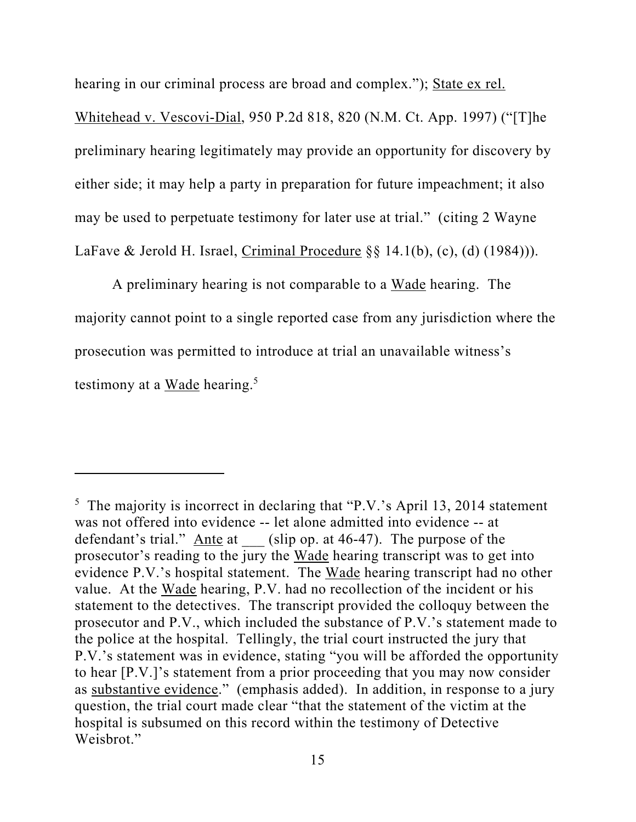hearing in our criminal process are broad and complex."); State ex rel.

Whitehead v. Vescovi-Dial, 950 P.2d 818, 820 (N.M. Ct. App. 1997) ("[T]he preliminary hearing legitimately may provide an opportunity for discovery by either side; it may help a party in preparation for future impeachment; it also may be used to perpetuate testimony for later use at trial." (citing 2 Wayne LaFave & Jerold H. Israel, Criminal Procedure  $\S$ § 14.1(b), (c), (d) (1984))).

A preliminary hearing is not comparable to a Wade hearing. The majority cannot point to a single reported case from any jurisdiction where the prosecution was permitted to introduce at trial an unavailable witness's testimony at a Wade hearing.<sup>5</sup>

<sup>&</sup>lt;sup>5</sup> The majority is incorrect in declaring that "P.V.'s April 13, 2014 statement was not offered into evidence -- let alone admitted into evidence -- at defendant's trial." Ante at (slip op. at 46-47). The purpose of the prosecutor's reading to the jury the Wade hearing transcript was to get into evidence P.V.'s hospital statement. The Wade hearing transcript had no other value. At the Wade hearing, P.V. had no recollection of the incident or his statement to the detectives. The transcript provided the colloquy between the prosecutor and P.V., which included the substance of P.V.'s statement made to the police at the hospital. Tellingly, the trial court instructed the jury that P.V.'s statement was in evidence, stating "you will be afforded the opportunity to hear [P.V.]'s statement from a prior proceeding that you may now consider as substantive evidence." (emphasis added). In addition, in response to a jury question, the trial court made clear "that the statement of the victim at the hospital is subsumed on this record within the testimony of Detective Weisbrot."